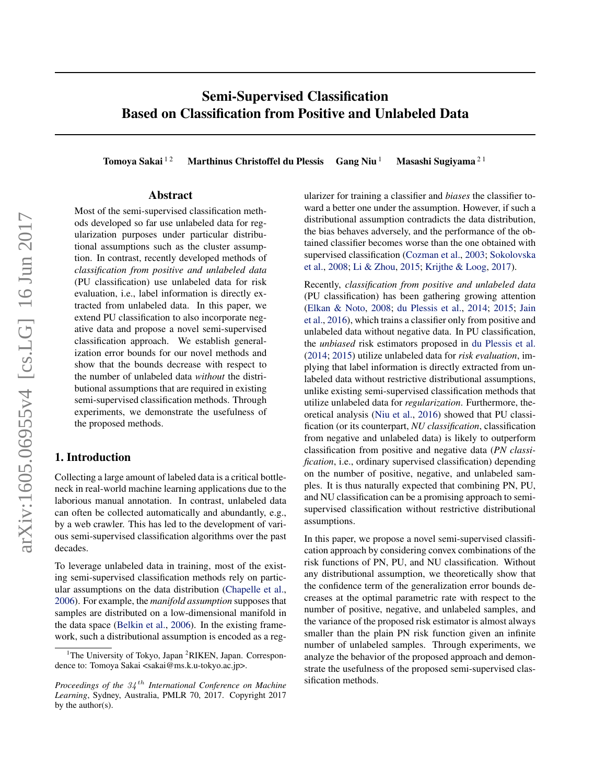# Semi-Supervised Classification Based on Classification from Positive and Unlabeled Data

Tomoya Sakai  $12$  Marthinus Christoffel du Plessis Gang Niu  $1$  Masashi Sugiyama  $21$ 

### Abstract

Most of the semi-supervised classification methods developed so far use unlabeled data for regularization purposes under particular distributional assumptions such as the cluster assumption. In contrast, recently developed methods of *classification from positive and unlabeled data* (PU classification) use unlabeled data for risk evaluation, i.e., label information is directly extracted from unlabeled data. In this paper, we extend PU classification to also incorporate negative data and propose a novel semi-supervised classification approach. We establish generalization error bounds for our novel methods and show that the bounds decrease with respect to the number of unlabeled data *without* the distributional assumptions that are required in existing semi-supervised classification methods. Through experiments, we demonstrate the usefulness of the proposed methods.

# 1. Introduction

Collecting a large amount of labeled data is a critical bottleneck in real-world machine learning applications due to the laborious manual annotation. In contrast, unlabeled data can often be collected automatically and abundantly, e.g., by a web crawler. This has led to the development of various semi-supervised classification algorithms over the past decades.

To leverage unlabeled data in training, most of the existing semi-supervised classification methods rely on particular assumptions on the data distribution [\(Chapelle et al.,](#page-8-0) [2006\)](#page-8-0). For example, the *manifold assumption* supposes that samples are distributed on a low-dimensional manifold in the data space [\(Belkin et al.,](#page-8-0) [2006\)](#page-8-0). In the existing framework, such a distributional assumption is encoded as a regularizer for training a classifier and *biases* the classifier toward a better one under the assumption. However, if such a distributional assumption contradicts the data distribution, the bias behaves adversely, and the performance of the obtained classifier becomes worse than the one obtained with supervised classification [\(Cozman et al.,](#page-8-0) [2003;](#page-8-0) [Sokolovska](#page-8-0) [et al.,](#page-8-0) [2008;](#page-8-0) [Li & Zhou,](#page-8-0) [2015;](#page-8-0) [Krijthe & Loog,](#page-8-0) [2017\)](#page-8-0).

Recently, *classification from positive and unlabeled data* (PU classification) has been gathering growing attention [\(Elkan & Noto,](#page-8-0) [2008;](#page-8-0) [du Plessis et al.,](#page-8-0) [2014;](#page-8-0) [2015;](#page-8-0) [Jain](#page-8-0) [et al.,](#page-8-0) [2016\)](#page-8-0), which trains a classifier only from positive and unlabeled data without negative data. In PU classification, the *unbiased* risk estimators proposed in [du Plessis et al.](#page-8-0) [\(2014;](#page-8-0) [2015\)](#page-8-0) utilize unlabeled data for *risk evaluation*, implying that label information is directly extracted from unlabeled data without restrictive distributional assumptions, unlike existing semi-supervised classification methods that utilize unlabeled data for *regularization*. Furthermore, theoretical analysis [\(Niu et al.,](#page-8-0) [2016\)](#page-8-0) showed that PU classification (or its counterpart, *NU classification*, classification from negative and unlabeled data) is likely to outperform classification from positive and negative data (*PN classification*, i.e., ordinary supervised classification) depending on the number of positive, negative, and unlabeled samples. It is thus naturally expected that combining PN, PU, and NU classification can be a promising approach to semisupervised classification without restrictive distributional assumptions.

In this paper, we propose a novel semi-supervised classification approach by considering convex combinations of the risk functions of PN, PU, and NU classification. Without any distributional assumption, we theoretically show that the confidence term of the generalization error bounds decreases at the optimal parametric rate with respect to the number of positive, negative, and unlabeled samples, and the variance of the proposed risk estimator is almost always smaller than the plain PN risk function given an infinite number of unlabeled samples. Through experiments, we analyze the behavior of the proposed approach and demonstrate the usefulness of the proposed semi-supervised classification methods.

<sup>&</sup>lt;sup>1</sup>The University of Tokyo, Japan <sup>2</sup>RIKEN, Japan. Correspondence to: Tomoya Sakai <sakai@ms.k.u-tokyo.ac.jp>.

*Proceedings of the* 34 th *International Conference on Machine Learning*, Sydney, Australia, PMLR 70, 2017. Copyright 2017 by the author(s).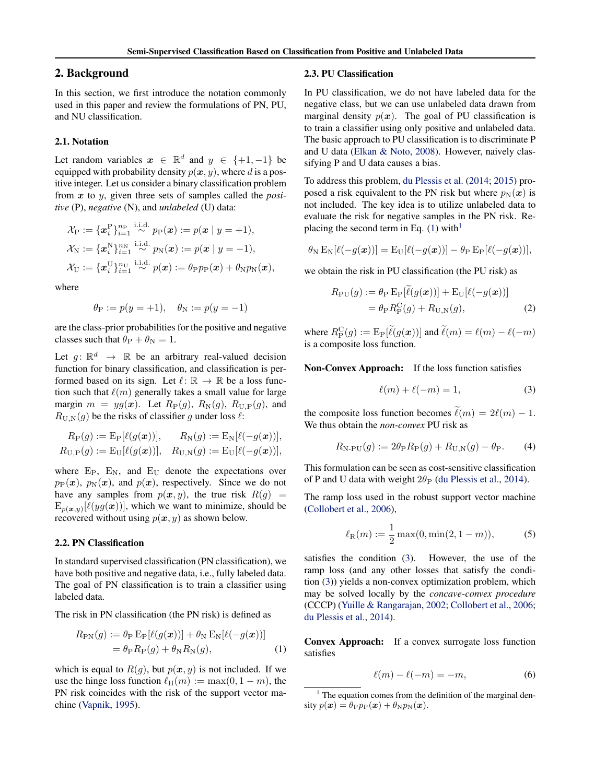# <span id="page-1-0"></span>2. Background

In this section, we first introduce the notation commonly used in this paper and review the formulations of PN, PU, and NU classification.

#### 2.1. Notation

Let random variables  $x \in \mathbb{R}^d$  and  $y \in \{+1, -1\}$  be equipped with probability density  $p(x, y)$ , where d is a positive integer. Let us consider a binary classification problem from x to y, given three sets of samples called the *positive* (P), *negative* (N), and *unlabeled* (U) data:

$$
\mathcal{X}_{\mathrm{P}} := \{ \boldsymbol{x}_{i}^{\mathrm{P}} \}_{i=1}^{n_{\mathrm{P}}} \stackrel{\text{i.i.d.}}{\sim} p_{\mathrm{P}}(\boldsymbol{x}) := p(\boldsymbol{x} \mid y = +1),
$$
  

$$
\mathcal{X}_{\mathrm{N}} := \{ \boldsymbol{x}_{i}^{\mathrm{N}} \}_{i=1}^{n_{\mathrm{N}}} \stackrel{\text{i.i.d.}}{\sim} p_{\mathrm{N}}(\boldsymbol{x}) := p(\boldsymbol{x} \mid y = -1),
$$
  

$$
\mathcal{X}_{\mathrm{U}} := \{ \boldsymbol{x}_{i}^{\mathrm{U}} \}_{i=1}^{n_{\mathrm{U}}} \stackrel{\text{i.i.d.}}{\sim} p(\boldsymbol{x}) := \theta_{\mathrm{P}} p_{\mathrm{P}}(\boldsymbol{x}) + \theta_{\mathrm{N}} p_{\mathrm{N}}(\boldsymbol{x}),
$$

where

$$
\theta_{\rm P} := p(y = +1), \quad \theta_{\rm N} := p(y = -1)
$$

are the class-prior probabilities for the positive and negative classes such that  $\theta_P + \theta_N = 1$ .

Let  $g: \mathbb{R}^d \to \mathbb{R}$  be an arbitrary real-valued decision function for binary classification, and classification is performed based on its sign. Let  $\ell : \mathbb{R} \to \mathbb{R}$  be a loss function such that  $\ell(m)$  generally takes a small value for large margin  $m = yg(x)$ . Let  $R_P(g)$ ,  $R_N(g)$ ,  $R_{U,P}(g)$ , and  $R_{\text{U,N}}(g)$  be the risks of classifier g under loss  $\ell$ :

$$
R_{\rm P}(g) := \mathrm{E}_{\rm P}[\ell(g(\bm{x}))], \qquad R_{\rm N}(g) := \mathrm{E}_{\rm N}[\ell(-g(\bm{x}))],
$$
  

$$
R_{\rm U,P}(g) := \mathrm{E}_{\rm U}[\ell(g(\bm{x}))], \quad R_{\rm U,N}(g) := \mathrm{E}_{\rm U}[\ell(-g(\bm{x}))],
$$

where  $E_P$ ,  $E_N$ , and  $E_U$  denote the expectations over  $p_P(x)$ ,  $p_N(x)$ , and  $p(x)$ , respectively. Since we do not have any samples from  $p(x, y)$ , the true risk  $R(g)$  =  $E_{p(x,y)}[\ell(yg(x))]$ , which we want to minimize, should be recovered without using  $p(x, y)$  as shown below.

### 2.2. PN Classification

In standard supervised classification (PN classification), we have both positive and negative data, i.e., fully labeled data. The goal of PN classification is to train a classifier using labeled data.

The risk in PN classification (the PN risk) is defined as

$$
R_{\rm PN}(g) := \theta_{\rm P} \mathbb{E}_{\rm P} [\ell(g(\boldsymbol{x}))] + \theta_{\rm N} \mathbb{E}_{\rm N} [\ell(-g(\boldsymbol{x}))]
$$
  
=  $\theta_{\rm P} R_{\rm P}(g) + \theta_{\rm N} R_{\rm N}(g),$  (1)

which is equal to  $R(g)$ , but  $p(x, y)$  is not included. If we use the hinge loss function  $\ell_H(m) := \max(0, 1 - m)$ , the PN risk coincides with the risk of the support vector machine [\(Vapnik,](#page-8-0) [1995\)](#page-8-0).

### 2.3. PU Classification

In PU classification, we do not have labeled data for the negative class, but we can use unlabeled data drawn from marginal density  $p(x)$ . The goal of PU classification is to train a classifier using only positive and unlabeled data. The basic approach to PU classification is to discriminate P and U data [\(Elkan & Noto,](#page-8-0) [2008\)](#page-8-0). However, naively classifying P and U data causes a bias.

To address this problem, [du Plessis et al.](#page-8-0) [\(2014;](#page-8-0) [2015\)](#page-8-0) proposed a risk equivalent to the PN risk but where  $p_N(x)$  is not included. The key idea is to utilize unlabeled data to evaluate the risk for negative samples in the PN risk. Replacing the second term in Eq.  $(1)$  with<sup>1</sup>

$$
\theta_{\rm N} \mathop{\rm E{}}\nolimits_{\rm N}[\ell(-g(\boldsymbol{x}))] = \mathop{\rm E{}}\nolimits_{\rm U}[\ell(-g(\boldsymbol{x}))] - \theta_{\rm P} \mathop{\rm E{}}\nolimits_{\rm P}[\ell(-g(\boldsymbol{x}))],
$$

we obtain the risk in PU classification (the PU risk) as

$$
R_{\rm PU}(g) := \theta_{\rm P} \mathbf{E}_{\rm P}[\ell(g(\mathbf{x}))] + \mathbf{E}_{\rm U}[\ell(-g(\mathbf{x}))]
$$

$$
= \theta_{\rm P} R_{\rm P}^{\rm C}(g) + R_{\rm U,N}(g), \tag{2}
$$

where  $R_{\rm P}^{\rm C}(g) := {\rm E}_{\rm P}[\tilde{\ell}(g(\boldsymbol{x}))]$  and  $\tilde{\ell}(m) = \ell(m) - \ell(-m)$ is a composite loss function.

Non-Convex Approach: If the loss function satisfies

$$
\ell(m) + \ell(-m) = 1,\tag{3}
$$

the composite loss function becomes  $\ell(m) = 2\ell(m) - 1$ . We thus obtain the *non-convex* PU risk as

$$
R_{\text{N-PU}}(g) := 2\theta_{\text{P}} R_{\text{P}}(g) + R_{\text{U,N}}(g) - \theta_{\text{P}}.
$$
 (4)

This formulation can be seen as cost-sensitive classification of P and U data with weight  $2\theta_P$  [\(du Plessis et al.,](#page-8-0) [2014\)](#page-8-0).

The ramp loss used in the robust support vector machine [\(Collobert et al.,](#page-8-0) [2006\)](#page-8-0),

$$
\ell_{\mathcal{R}}(m) := \frac{1}{2} \max(0, \min(2, 1 - m)), \tag{5}
$$

satisfies the condition (3). However, the use of the ramp loss (and any other losses that satisfy the condition (3)) yields a non-convex optimization problem, which may be solved locally by the *concave-convex procedure* (CCCP) [\(Yuille & Rangarajan,](#page-8-0) [2002;](#page-8-0) [Collobert et al.,](#page-8-0) [2006;](#page-8-0) [du Plessis et al.,](#page-8-0) [2014\)](#page-8-0).

Convex Approach: If a convex surrogate loss function satisfies

$$
\ell(m) - \ell(-m) = -m,\t\t(6)
$$

 $1$  The equation comes from the definition of the marginal density  $p(\boldsymbol{x}) = \theta_P p_P(\boldsymbol{x}) + \theta_N p_N(\boldsymbol{x}).$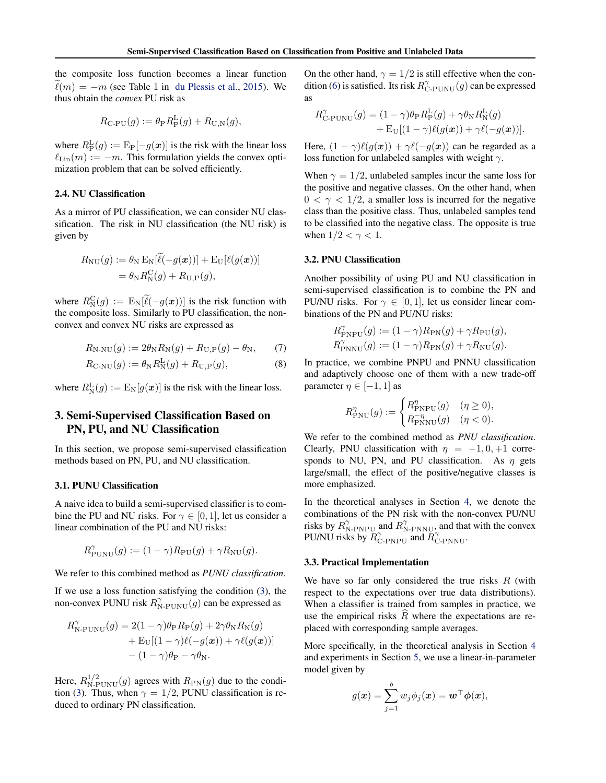<span id="page-2-0"></span>the composite loss function becomes a linear function  $\tilde{\ell}(m) = -m$  (see Table 1 in [du Plessis et al.,](#page-8-0) [2015\)](#page-8-0). We thus obtain the *convex* PU risk as

$$
R_{\text{C-PU}}(g) := \theta_{\text{P}} R_{\text{P}}^{\text{L}}(g) + R_{\text{U,N}}(g),
$$

where  $R_{\rm P}^{\rm L}(g) := {\rm E}_{\rm P}[-g(\boldsymbol{x})]$  is the risk with the linear loss  $\ell_{\text{Lin}}(m) := -m$ . This formulation yields the convex optimization problem that can be solved efficiently.

### 2.4. NU Classification

As a mirror of PU classification, we can consider NU classification. The risk in NU classification (the NU risk) is given by

$$
R_{\rm NU}(g) := \theta_{\rm N} \mathbb{E}_{\rm N} [\ell(-g(\boldsymbol{x}))] + \mathbb{E}_{\rm U} [\ell(g(\boldsymbol{x}))]
$$
  
=  $\theta_{\rm N} R_{\rm N}^{\rm C}(g) + R_{\rm U,P}(g),$ 

where  $R_{\text{N}}^{\text{C}}(g) := \text{E}_{\text{N}}[\tilde{\ell}(-g(\boldsymbol{x}))]$  is the risk function with the composite loss. Similarly to PU classification, the nonconvex and convex NU risks are expressed as

$$
R_{N\text{-NU}}(g) := 2\theta_N R_N(g) + R_{U,\text{P}}(g) - \theta_N,\qquad(7)
$$

$$
R_{\text{C-NU}}(g) := \theta_{\text{N}} R_{\text{N}}^{\text{L}}(g) + R_{\text{U,P}}(g), \tag{8}
$$

where  $R_{\rm N}^{\rm L}(g) := \mathbb{E}_{\rm N}[g(\boldsymbol{x})]$  is the risk with the linear loss.

# 3. Semi-Supervised Classification Based on PN, PU, and NU Classification

In this section, we propose semi-supervised classification methods based on PN, PU, and NU classification.

### 3.1. PUNU Classification

A naive idea to build a semi-supervised classifier is to combine the PU and NU risks. For  $\gamma \in [0, 1]$ , let us consider a linear combination of the PU and NU risks:

$$
R_{\text{PUNU}}^{\gamma}(g) := (1 - \gamma) R_{\text{PU}}(g) + \gamma R_{\text{NU}}(g).
$$

We refer to this combined method as *PUNU classification*.

If we use a loss function satisfying the condition [\(3\)](#page-1-0), the non-convex PUNU risk  $R_{\text{N-PUNU}}^{\gamma}(g)$  can be expressed as

$$
R_{\text{N-PUNU}}^{\gamma}(g) = 2(1 - \gamma)\theta_{\text{P}}R_{\text{P}}(g) + 2\gamma\theta_{\text{N}}R_{\text{N}}(g) + \text{E}_{\text{U}}[(1 - \gamma)\ell(-g(\boldsymbol{x})) + \gamma\ell(g(\boldsymbol{x}))] -(1 - \gamma)\theta_{\text{P}} - \gamma\theta_{\text{N}}.
$$

Here,  $R_{\text{N-PUNU}}^{1/2}(g)$  agrees with  $R_{\text{PN}}(g)$  due to the condi-tion [\(3\)](#page-1-0). Thus, when  $\gamma = 1/2$ , PUNU classification is reduced to ordinary PN classification.

On the other hand,  $\gamma = 1/2$  is still effective when the con-dition [\(6\)](#page-1-0) is satisfied. Its risk  $R_{\text{C-PUNU}}^{\gamma}(g)$  can be expressed as

$$
R_{\text{C-PUNU}}^{\gamma}(g) = (1 - \gamma)\theta_{\text{P}} R_{\text{P}}^{\text{L}}(g) + \gamma \theta_{\text{N}} R_{\text{N}}^{\text{L}}(g) + \text{E}_{\text{U}}[(1 - \gamma)\ell(g(\boldsymbol{x})) + \gamma \ell(-g(\boldsymbol{x}))].
$$

Here,  $(1 - \gamma)\ell(g(x)) + \gamma\ell(-g(x))$  can be regarded as a loss function for unlabeled samples with weight  $\gamma$ .

When  $\gamma = 1/2$ , unlabeled samples incur the same loss for the positive and negative classes. On the other hand, when  $0 < \gamma < 1/2$ , a smaller loss is incurred for the negative class than the positive class. Thus, unlabeled samples tend to be classified into the negative class. The opposite is true when  $1/2 < \gamma < 1$ .

#### 3.2. PNU Classification

Another possibility of using PU and NU classification in semi-supervised classification is to combine the PN and PU/NU risks. For  $\gamma \in [0, 1]$ , let us consider linear combinations of the PN and PU/NU risks:

$$
R_{\text{PNPU}}^{\gamma}(g) := (1 - \gamma) R_{\text{PN}}(g) + \gamma R_{\text{PU}}(g),
$$
  

$$
R_{\text{PNNU}}^{\gamma}(g) := (1 - \gamma) R_{\text{PN}}(g) + \gamma R_{\text{NU}}(g).
$$

In practice, we combine PNPU and PNNU classification and adaptively choose one of them with a new trade-off parameter  $\eta \in [-1, 1]$  as

$$
R_{\text{PNU}}^{\eta}(g) := \begin{cases} R_{\text{PNPU}}^{\eta}(g) & (\eta \ge 0), \\ R_{\text{PNNU}}^{-\eta}(g) & (\eta < 0). \end{cases}
$$

We refer to the combined method as *PNU classification*. Clearly, PNU classification with  $\eta = -1, 0, +1$  corresponds to NU, PN, and PU classification. As  $\eta$  gets large/small, the effect of the positive/negative classes is more emphasized.

In the theoretical analyses in Section [4,](#page-3-0) we denote the combinations of the PN risk with the non-convex PU/NU risks by  $R_{\text{N-PNPU}}^{\gamma}$  and  $R_{\text{N-PNNU}}^{\gamma}$ , and that with the convex PU/NU risks by  $R_{\text{C-PNPU}}^{\gamma}$  and  $R_{\text{C-PNNU}}^{\gamma}$ .

#### 3.3. Practical Implementation

We have so far only considered the true risks  $R$  (with respect to the expectations over true data distributions). When a classifier is trained from samples in practice, we use the empirical risks  $\overline{R}$  where the expectations are replaced with corresponding sample averages.

More specifically, in the theoretical analysis in Section [4](#page-3-0) and experiments in Section [5,](#page-5-0) we use a linear-in-parameter model given by

$$
g(\boldsymbol{x}) = \sum_{j=1}^b w_j \phi_j(\boldsymbol{x}) = \boldsymbol{w}^\top \boldsymbol{\phi}(\boldsymbol{x}),
$$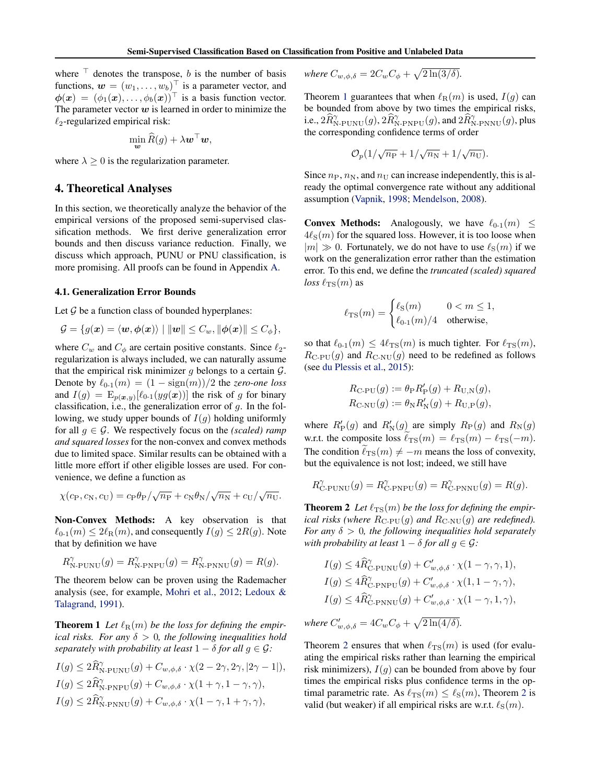<span id="page-3-0"></span>where  $\top$  denotes the transpose, b is the number of basis functions,  $\mathbf{w} = (w_1, \dots, w_b)^\top$  is a parameter vector, and  $\phi(\boldsymbol{x}) = (\phi_1(\boldsymbol{x}), \ldots, \phi_b(\boldsymbol{x}))^\top$  is a basis function vector. The parameter vector  $w$  is learned in order to minimize the  $\ell_2$ -regularized empirical risk:

$$
\min_{\boldsymbol{w}} \widehat{R}(g) + \lambda \boldsymbol{w}^\top \boldsymbol{w},
$$

where  $\lambda \geq 0$  is the regularization parameter.

# 4. Theoretical Analyses

In this section, we theoretically analyze the behavior of the empirical versions of the proposed semi-supervised classification methods. We first derive generalization error bounds and then discuss variance reduction. Finally, we discuss which approach, PUNU or PNU classification, is more promising. All proofs can be found in Appendix [A.](#page-10-0)

#### 4.1. Generalization Error Bounds

Let  $G$  be a function class of bounded hyperplanes:

$$
\mathcal{G} = \{g(\boldsymbol{x}) = \langle \boldsymbol{w}, \boldsymbol{\phi}(\boldsymbol{x}) \rangle \mid ||\boldsymbol{w}|| \leq C_{\boldsymbol{w}}, ||\boldsymbol{\phi}(\boldsymbol{x})|| \leq C_{\phi}\},
$$

where  $C_w$  and  $C_\phi$  are certain positive constants. Since  $\ell_2$ regularization is always included, we can naturally assume that the empirical risk minimizer g belongs to a certain  $\mathcal{G}$ . Denote by  $\ell_{0-1}(m) = (1 - \text{sign}(m))/2$  the *zero-one loss* and  $I(g) = \mathbb{E}_{p(\bm{x}, y)}[\ell_{0\text{-}1}(yg(\bm{x}))]$  the risk of g for binary classification, i.e., the generalization error of  $q$ . In the following, we study upper bounds of  $I(g)$  holding uniformly for all  $g \in \mathcal{G}$ . We respectively focus on the *(scaled)* ramp *and squared losses* for the non-convex and convex methods due to limited space. Similar results can be obtained with a little more effort if other eligible losses are used. For convenience, we define a function as

$$
\chi(c_{\rm P}, c_{\rm N}, c_{\rm U}) = c_{\rm P}\theta_{\rm P}/\sqrt{n_{\rm P}} + c_{\rm N}\theta_{\rm N}/\sqrt{n_{\rm N}} + c_{\rm U}/\sqrt{n_{\rm U}}.
$$

Non-Convex Methods: A key observation is that  $\ell_{0-1}(m) \leq 2\ell_{\mathbb{R}}(m)$ , and consequently  $I(g) \leq 2R(g)$ . Note that by definition we have

$$
R^{\gamma}_{\text{N-PUNU}}(g) = R^{\gamma}_{\text{N-PNPU}}(g) = R^{\gamma}_{\text{N-PNNU}}(g) = R(g).
$$

The theorem below can be proven using the Rademacher analysis (see, for example, [Mohri et al.,](#page-8-0) [2012;](#page-8-0) [Ledoux &](#page-8-0) [Talagrand,](#page-8-0) [1991\)](#page-8-0).

**Theorem 1** Let  $\ell_R(m)$  be the loss for defining the empir*ical risks. For any*  $\delta > 0$ *, the following inequalities hold separately with probability at least*  $1 - \delta$  *for all*  $q \in \mathcal{G}$ *:* 

$$
I(g) \leq 2\widehat{R}_{\text{N-PUNU}}^{\gamma}(g) + C_{w,\phi,\delta} \cdot \chi(2 - 2\gamma, 2\gamma, |2\gamma - 1|),
$$
  
\n
$$
I(g) \leq 2\widehat{R}_{\text{N-PNPU}}^{\gamma}(g) + C_{w,\phi,\delta} \cdot \chi(1 + \gamma, 1 - \gamma, \gamma),
$$
  
\n
$$
I(g) \leq 2\widehat{R}_{\text{N-PNNU}}^{\gamma}(g) + C_{w,\phi,\delta} \cdot \chi(1 - \gamma, 1 + \gamma, \gamma),
$$

where 
$$
C_{w,\phi,\delta} = 2C_w C_\phi + \sqrt{2\ln(3/\delta)}
$$
.

Theorem 1 guarantees that when  $\ell_{\rm R}(m)$  is used,  $I(g)$  can be bounded from above by two times the empirical risks, i.e.,  $2\widehat{R}_{\text{N-PUNU}}^{\gamma}(g)$ ,  $2\widehat{R}_{\text{N-PNPU}}^{\gamma}(g)$ , and  $2\widehat{R}_{\text{N-PNNU}}^{\gamma}(g)$ , plus the corresponding confidence terms of order

$$
\mathcal{O}_p(1/\sqrt{n_{\rm P}}+1/\sqrt{n_{\rm N}}+1/\sqrt{n_{\rm U}}).
$$

Since  $n_P$ ,  $n_N$ , and  $n_U$  can increase independently, this is already the optimal convergence rate without any additional assumption [\(Vapnik,](#page-8-0) [1998;](#page-8-0) [Mendelson,](#page-8-0) [2008\)](#page-8-0).

**Convex Methods:** Analogously, we have  $\ell_{0-1}(m) \leq$  $4\ell_s(m)$  for the squared loss. However, it is too loose when  $|m| \gg 0$ . Fortunately, we do not have to use  $\ell_s(m)$  if we work on the generalization error rather than the estimation error. To this end, we define the *truncated (scaled) squared loss*  $\ell_{\text{TS}}(m)$  as

$$
\ell_{\text{TS}}(m) = \begin{cases} \ell_{\text{S}}(m) & 0 < m \le 1, \\ \ell_{0\text{-}1}(m)/4 & \text{otherwise,} \end{cases}
$$

so that  $\ell_{0-1}(m) \leq 4\ell_{\text{TS}}(m)$  is much tighter. For  $\ell_{\text{TS}}(m)$ ,  $R_{\text{C-PU}}(g)$  and  $R_{\text{C-NU}}(g)$  need to be redefined as follows (see [du Plessis et al.,](#page-8-0) [2015\)](#page-8-0):

$$
R_{\text{C-PU}}(g) := \theta_{\text{P}} R'_{\text{P}}(g) + R_{\text{U,N}}(g),
$$
  

$$
R_{\text{C-NU}}(g) := \theta_{\text{N}} R'_{\text{N}}(g) + R_{\text{U,P}}(g),
$$

where  $R'_{\rm P}(g)$  and  $R'_{\rm N}(g)$  are simply  $R_{\rm P}(g)$  and  $R_{\rm N}(g)$ w.r.t. the composite loss  $\ell_{\text{TS}}(m) = \ell_{\text{TS}}(m) - \ell_{\text{TS}}(-m)$ . The condition  $\ell_{\text{TS}}(m) \neq -m$  means the loss of convexity, but the equivalence is not lost; indeed, we still have

$$
R_{\textrm{C-PUNU}}^{\gamma}(g)=R_{\textrm{C-PNPU}}^{\gamma}(g)=R_{\textrm{C-PNNU}}^{\gamma}(g)=R(g).
$$

**Theorem 2** Let  $\ell_{TS}(m)$  be the loss for defining the empir*ical risks (where*  $R_{\text{C-PU}}(g)$  *and*  $R_{\text{C-NU}}(g)$  *are redefined). For any*  $\delta > 0$ *, the following inequalities hold separately with probability at least*  $1 - \delta$  *for all*  $g \in \mathcal{G}$ *:* 

$$
I(g) \leq 4\widehat{R}_{\text{C-PUNU}}^{\gamma}(g) + C'_{w,\phi,\delta} \cdot \chi(1-\gamma,\gamma,1),
$$
  
\n
$$
I(g) \leq 4\widehat{R}_{\text{C-PNNU}}^{\gamma}(g) + C'_{w,\phi,\delta} \cdot \chi(1,1-\gamma,\gamma),
$$
  
\n
$$
I(g) \leq 4\widehat{R}_{\text{C-PNNU}}^{\gamma}(g) + C'_{w,\phi,\delta} \cdot \chi(1-\gamma,1,\gamma),
$$

where  $C'_{w,\phi,\delta} = 4C_wC_\phi + \sqrt{2\ln(4/\delta)}$ .

Theorem 2 ensures that when  $\ell_{\text{TS}}(m)$  is used (for evaluating the empirical risks rather than learning the empirical risk minimizers),  $I(g)$  can be bounded from above by four times the empirical risks plus confidence terms in the optimal parametric rate. As  $\ell_{\text{TS}}(m) \leq \ell_{\text{S}}(m)$ , Theorem 2 is valid (but weaker) if all empirical risks are w.r.t.  $\ell_S(m)$ .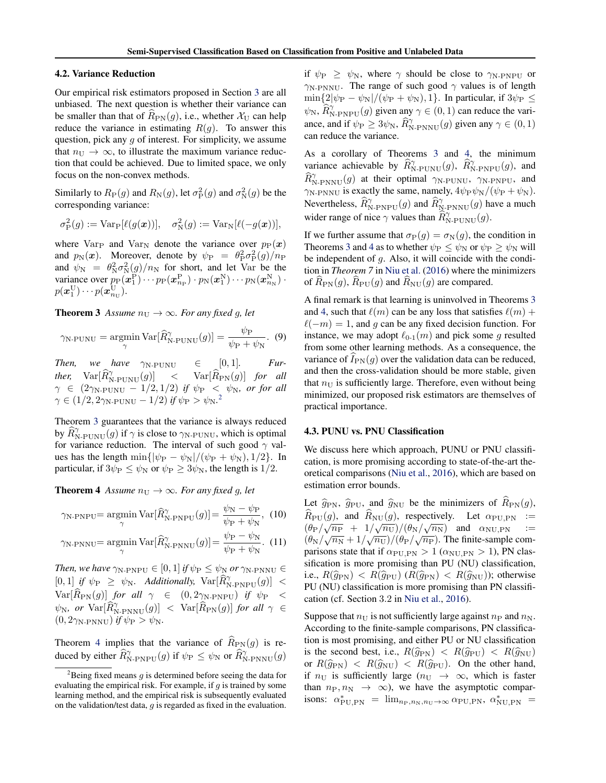#### <span id="page-4-0"></span>4.2. Variance Reduction

Our empirical risk estimators proposed in Section [3](#page-2-0) are all unbiased. The next question is whether their variance can be smaller than that of  $R_{\text{PN}}(g)$ , i.e., whether  $\mathcal{X}_{\text{U}}$  can help reduce the variance in estimating  $R(g)$ . To answer this question, pick any  $g$  of interest. For simplicity, we assume that  $n_{\rm U} \rightarrow \infty$ , to illustrate the maximum variance reduction that could be achieved. Due to limited space, we only focus on the non-convex methods.

Similarly to  $R_P(g)$  and  $R_N(g)$ , let  $\sigma_P^2(g)$  and  $\sigma_N^2(g)$  be the corresponding variance:

$$
\sigma_{\mathcal{P}}^2(g) := \mathrm{Var}_{\mathcal{P}}[\ell(g(\boldsymbol{x}))], \quad \sigma_{\mathcal{N}}^2(g) := \mathrm{Var}_{\mathcal{N}}[\ell(-g(\boldsymbol{x}))],
$$

where Var<sub>P</sub> and Var<sub>N</sub> denote the variance over  $p_P(x)$ and  $p_N(x)$ . Moreover, denote by  $\psi_P = \theta_P^2 \sigma_P^2(g)/n_P$ and  $\psi_N = \theta_N^2 \sigma_N^2(g)/n_N$  for short, and let Var be the variance over  $p_P(\boldsymbol{x}_1^P)\cdots p_P(\boldsymbol{x}_{n_P}^P)\cdot p_N(\boldsymbol{x}_1^N)\cdots p_N(\boldsymbol{x}_{n_N}^N)$  .  $p(\boldsymbol{x}^{\mathrm{U}}_1)\cdots p(\boldsymbol{x}^{\mathrm{U}}_{n_{\mathrm{U}}}).$ 

**Theorem 3** Assume  $n_U \rightarrow \infty$ *. For any fixed g, let* 

$$
\gamma_{\text{N-PUNU}} = \underset{\gamma}{\text{argmin}} \, \text{Var}[\widehat{R}_{\text{N-PUNU}}^{\gamma}(g)] = \frac{\psi_{\text{P}}}{\psi_{\text{P}} + \psi_{\text{N}}}.\tag{9}
$$

*Then, we have*  $\gamma_{\text{N-PUNU}} \in [0,1]$ *. Further,*  $Var[\widehat{R}_{N\text{-PUNU}}^{\gamma}(g)] \le Var[\widehat{R}_{PN}(g)]$  *for all*  $\gamma$   $\in$   $(2\gamma_{\mathrm{N-PUNU}}-1/2,1/2)$  *if*  $\psi_{\mathrm{P}}$  $<$  $\psi_{\mathrm{N}}$ *, or for all*  $\gamma \in (1/2, 2\gamma_\text{N-PUNU} - 1/2)$  *if*  $\psi_\text{P} > \psi_\text{N}$ .<sup>2</sup>

Theorem 3 guarantees that the variance is always reduced by  $\widehat{R}_{\text{N-PUNU}}^{\gamma}(g)$  if  $\gamma$  is close to  $\gamma_{\text{N-PUNU}}$ , which is optimal for variance reduction. The interval of such good  $\gamma$  values has the length min{ $|\psi_{\rm P} - \psi_{\rm N}|/(\psi_{\rm P} + \psi_{\rm N}), 1/2$ }. In particular, if  $3\psi_P \leq \psi_N$  or  $\psi_P \geq 3\psi_N$ , the length is 1/2.

**Theorem 4** *Assume*  $n_U \rightarrow \infty$ *. For any fixed g, let* 

$$
\gamma_{\text{N-PNPU}} = \underset{\gamma}{\text{argmin}} \text{Var}[\hat{R}_{\text{N-PNPU}}^{\gamma}(g)] = \frac{\psi_{\text{N}} - \psi_{\text{P}}}{\psi_{\text{P}} + \psi_{\text{N}}}, (10)
$$

$$
\gamma_{\text{N-PNNU}} = \underset{\gamma}{\text{argmin}} \, \text{Var}[\widehat{R}_{\text{N-PNNU}}^{\gamma}(g)] = \frac{\psi_{\text{P}} - \psi_{\text{N}}}{\psi_{\text{P}} + \psi_{\text{N}}}.\tag{11}
$$

*Then, we have*  $\gamma_{\text{N-PNPU}} \in [0, 1]$  *if*  $\psi_{\text{P}} \leq \psi_{\text{N}}$  *or*  $\gamma_{\text{N-PNNU}} \in$  $[0, 1]$  *if*  $\psi_{\text{P}} \geq \psi_{\text{N}}$ *. Additionally,*  $\text{Var}[\widehat{R}_{\text{N-PNPU}}^{\gamma}(g)] <$  $\text{Var}[\widehat{R}_{\rm PN}(g)] \hspace{.1cm} \textit{for \hspace{.1cm} all} \hspace{.1cm} \gamma \hspace{.1cm} \in \hspace{.1cm} (0, 2\gamma_{\rm N\text{-}PNPU}) \hspace{.1cm} \textit{if \hspace{.1cm} } \psi_{\rm P} \hspace{.1cm} < \hspace{.1cm}$  $\psi_{\rm N}$ *, or*  $\text{Var}[\widehat{R}_{\text{N-PNNU}}^{\gamma}(g)] < \text{Var}[\widehat{R}_{\text{PN}}(g)]$  *for all*  $\gamma \in$  $(0, 2\gamma_{\text{N-PNNU}})$  *if*  $\psi_{\text{P}} > \psi_{\text{N}}$ .

Theorem 4 implies that the variance of  $\widehat{R}_{\text{PN}}(g)$  is reduced by either  $\widehat{R}_{\text{N-PNPU}}^{\gamma}(g)$  if  $\psi_{\text{P}} \leq \psi_{\text{N}}$  or  $\widehat{R}_{\text{N-PNNU}}^{\gamma}(g)$  if  $\psi_{\rm P} \geq \psi_{\rm N}$ , where  $\gamma$  should be close to  $\gamma_{\rm N-PNPU}$  or  $\gamma_{\text{N-PNNU}}$ . The range of such good  $\gamma$  values is of length  $\min\{2|\psi_{\rm P} - \psi_{\rm N}|/(\psi_{\rm P} + \psi_{\rm N}), 1\}$ . In particular, if  $3\psi_{\rm P} \le$  $\psi_{\rm N}$ ,  $\widehat{R}_{\rm N-PNPU}^{\gamma}(g)$  given any  $\gamma \in (0,1)$  can reduce the variance, and if  $\psi_{\rm P} \ge 3\psi_{\rm N}$ ,  $\widehat{R}_{\rm N\text{-}PNNU}^{\gamma}(g)$  given any  $\gamma \in (0,1)$ can reduce the variance.

As a corollary of Theorems 3 and 4, the minimum variance achievable by  $\widehat{R}_{N\text{-PUNU}}^{\gamma}(g)$ ,  $\widehat{R}_{N\text{-PNPU}}^{\gamma}(g)$ , and  $\widehat{R}_{\text{N-PNNU}}^{\gamma}(g)$  at their optimal  $\gamma_{\text{N-PUNU}}, \gamma_{\text{N-PNPU}},$  and  $\gamma_{\text{N-PNNU}}$  is exactly the same, namely,  $4\psi_{\text{P}}\psi_{\text{N}}/(\psi_{\text{P}} + \psi_{\text{N}})$ . Nevertheless,  $\widehat{R}_{N\text{-}PNPU}^{\gamma}(g)$  and  $\widehat{R}_{N\text{-}PNNU}^{\gamma}(g)$  have a much wider range of nice  $\gamma$  values than  $\widehat{R}_{N\text{-PUNU}}^{\gamma}(g)$ .

If we further assume that  $\sigma_P(g) = \sigma_N(g)$ , the condition in Theorems 3 and 4 as to whether  $\psi_{\rm P} \leq \psi_{\rm N}$  or  $\psi_{\rm P} \geq \psi_{\rm N}$  will be independent of g. Also, it will coincide with the condition in *Theorem 7* in [Niu et al.](#page-8-0) [\(2016\)](#page-8-0) where the minimizers of  $\widehat{R}_{\text{PN}}(g)$ ,  $\widehat{R}_{\text{PU}}(g)$  and  $\widehat{R}_{\text{NU}}(g)$  are compared.

A final remark is that learning is uninvolved in Theorems 3 and 4, such that  $\ell(m)$  can be any loss that satisfies  $\ell(m)$  +  $\ell(-m) = 1$ , and g can be any fixed decision function. For instance, we may adopt  $\ell_{0-1}(m)$  and pick some g resulted from some other learning methods. As a consequence, the variance of  $I_{PN}(g)$  over the validation data can be reduced, and then the cross-validation should be more stable, given that  $n_{\rm U}$  is sufficiently large. Therefore, even without being minimized, our proposed risk estimators are themselves of practical importance.

#### 4.3. PUNU vs. PNU Classification

We discuss here which approach, PUNU or PNU classification, is more promising according to state-of-the-art theoretical comparisons [\(Niu et al.,](#page-8-0) [2016\)](#page-8-0), which are based on estimation error bounds.

Let  $\hat{g}_{\text{PN}}, \hat{g}_{\text{PU}},$  and  $\hat{g}_{\text{NU}}$  be the minimizers of  $\hat{R}_{\text{PN}}(g)$ ,  $R_{\text{PU}}(g)$ , and  $R_{\text{NU}}(g)$ , respectively. Let  $\alpha_{\text{PU,PN}} :=$  $\left(\theta_{\rm P}/\sqrt{n_{\rm P}} + 1/\sqrt{n_{\rm U}}\right)/\left(\theta_{\rm N}/\sqrt{n_{\rm N}}\right)$  and  $\alpha_{\rm NU,PN}$  :=  $(\theta_{\rm N}/\sqrt{n_{\rm N}}+1/\sqrt{n_{\rm U}})/(\theta_{\rm P}/\sqrt{n_{\rm P}})$ . The finite-sample comparisons state that if  $\alpha_{\text{PU,PN}} > 1$  ( $\alpha_{\text{NU,PN}} > 1$ ), PN classification is more promising than PU (NU) classification, i.e.,  $R(\hat{g}_{PN}) < R(\hat{g}_{PU})$  ( $R(\hat{g}_{PN}) < R(\hat{g}_{NU})$ ); otherwise PU (NU) classification is more promising than PN classification (cf. Section 3.2 in [Niu et al.,](#page-8-0) [2016\)](#page-8-0).

Suppose that  $n_{\rm U}$  is not sufficiently large against  $n_{\rm P}$  and  $n_{\rm N}$ . According to the finite-sample comparisons, PN classification is most promising, and either PU or NU classification is the second best, i.e.,  $R(\hat{q}_{\text{PN}}) < R(\hat{q}_{\text{PU}}) < R(\hat{q}_{\text{NU}})$ or  $R(\hat{g}_{PN})$  <  $R(\hat{g}_{NU})$  <  $R(\hat{g}_{PU})$ . On the other hand, if  $n_{\text{U}}$  is sufficiently large  $(n_{\text{U}} \rightarrow \infty,$  which is faster than  $n_P, n_N \rightarrow \infty$ , we have the asymptotic comparisons:  $\alpha^*_{\text{PU,PN}} = \lim_{n_{\text{P}},n_{\text{N}},n_{\text{U}} \to \infty} \alpha_{\text{PU,PN}}, \alpha^*_{\text{NU,PN}} =$ 

<sup>&</sup>lt;sup>2</sup>Being fixed means q is determined before seeing the data for evaluating the empirical risk. For example, if  $g$  is trained by some learning method, and the empirical risk is subsequently evaluated on the validation/test data,  $g$  is regarded as fixed in the evaluation.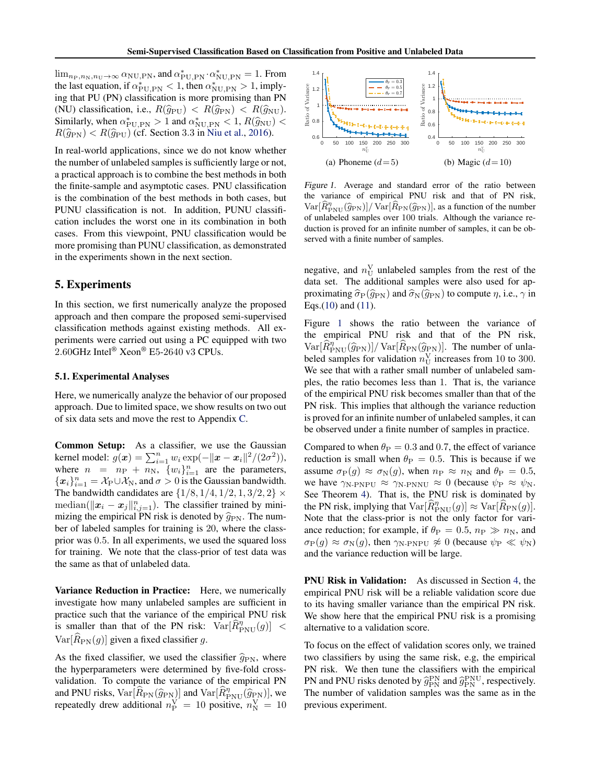<span id="page-5-0"></span> $\lim_{n_P, n_N, n_U \to \infty} \alpha_{\text{NU,PN}}$ , and  $\alpha_{\text{PU,PN}}^* \cdot \alpha_{\text{NU,PN}}^* = 1$ . From the last equation, if  $\alpha^*_{\rm PU, PN} < 1$ , then  $\alpha^*_{\rm NU, PN} > 1$ , implying that PU (PN) classification is more promising than PN (NU) classification, i.e.,  $R(\hat{g}_{PU}) < R(\hat{g}_{PN}) < R(\hat{g}_{NU})$ . Similarly, when  $\alpha_{\text{PU,PN}}^* > 1$  and  $\alpha_{\text{NU,PN}}^* < 1$ ,  $R(\hat{g}_{\text{NU}}) < R(\hat{g}_{\text{NU}}) \leq R(\hat{g}_{\text{NU}})$  (of Section 3.3 in Niu et al. 2016)  $R(\hat{g}_{\rm PN}) < R(\hat{g}_{\rm PU})$  (cf. Section 3.3 in [Niu et al.,](#page-8-0) [2016\)](#page-8-0).

In real-world applications, since we do not know whether the number of unlabeled samples is sufficiently large or not, a practical approach is to combine the best methods in both the finite-sample and asymptotic cases. PNU classification is the combination of the best methods in both cases, but PUNU classification is not. In addition, PUNU classification includes the worst one in its combination in both cases. From this viewpoint, PNU classification would be more promising than PUNU classification, as demonstrated in the experiments shown in the next section.

# 5. Experiments

In this section, we first numerically analyze the proposed approach and then compare the proposed semi-supervised classification methods against existing methods. All experiments were carried out using a PC equipped with two 2.60GHz Intel® Xeon® E5-2640 v3 CPUs.

# 5.1. Experimental Analyses

Here, we numerically analyze the behavior of our proposed approach. Due to limited space, we show results on two out of six data sets and move the rest to Appendix [C.](#page-14-0)

Common Setup: As a classifier, we use the Gaussian kernel model:  $g(x) = \sum_{i=1}^{n} w_i \exp(-||x - x_i||^2 / (2\sigma^2)),$ where  $n = n_P + n_N$ ,  $\{w_i\}_{i=1}^n$  are the parameters,  ${x_i}_{i=1}^n = \mathcal{X}_{P} \cup \mathcal{X}_{N}$ , and  $\sigma > 0$  is the Gaussian bandwidth. The bandwidth candidates are  $\{1/8, 1/4, 1/2, 1, 3/2, 2\} \times$ median( $\|\boldsymbol{x}_i - \boldsymbol{x}_j\|_{i,j=1}^n$ ). The classifier trained by minimizing the empirical PN risk is denoted by  $\hat{g}_{\text{PN}}$ . The number of labeled samples for training is 20, where the classprior was 0.5. In all experiments, we used the squared loss for training. We note that the class-prior of test data was the same as that of unlabeled data.

Variance Reduction in Practice: Here, we numerically investigate how many unlabeled samples are sufficient in practice such that the variance of the empirical PNU risk is smaller than that of the PN risk:  $Var[\hat{R}_{\text{PNU}}^{\eta}(g)] <$  $Var[R_{PN}(g)]$  given a fixed classifier g.

As the fixed classifier, we used the classifier  $\hat{g}_{\text{PN}}$ , where the hyperparameters were determined by five-fold crossvalidation. To compute the variance of the empirical PN and PNU risks,  $Var[\widehat{R}_{PN}(\widehat{g}_{PN})]$  and  $Var[\widehat{R}_{PNU}^{\eta}(\widehat{g}_{PN})]$ , we repeatedly drew additional  $n_{\rm P}^{\rm V} = 10$  positive,  $n_{\rm N}^{\rm V} = 10$ 



Figure 1. Average and standard error of the ratio between the variance of empirical PNU risk and that of PN risk,  $\text{Var}[\hat{R}_{\text{PNU}}^n(\hat{g}_{\text{PN}})]/\text{Var}[\hat{R}_{\text{PN}}(\hat{g}_{\text{PN}})]$ , as a function of the number<br>of unlabeled camples over 100 trials. Although the vertices reof unlabeled samples over 100 trials. Although the variance reduction is proved for an infinite number of samples, it can be observed with a finite number of samples.

negative, and  $n_{\text{U}}^{\text{V}}$  unlabeled samples from the rest of the data set. The additional samples were also used for approximating  $\hat{\sigma}_P(\hat{q}_{PN})$  and  $\hat{\sigma}_N(\hat{q}_{PN})$  to compute  $\eta$ , i.e.,  $\gamma$  in Eqs.[\(10\)](#page-4-0) and [\(11\)](#page-4-0).

Figure 1 shows the ratio between the variance of the empirical PNU risk and that of the PN risk,  $\text{Var}[\hat{R}_{\text{PNU}}^{\eta}(\hat{g}_{\text{PN}})]/\text{Var}[\hat{R}_{\text{PN}}(\hat{g}_{\text{PN}})]$ . The number of unla-<br>heled samples for validation  $\pi^{V}$  increases from 10 to 200 beled samples for validation  $n_{\text{U}}^{\text{V}}$  increases from 10 to 300. We see that with a rather small number of unlabeled samples, the ratio becomes less than 1. That is, the variance of the empirical PNU risk becomes smaller than that of the PN risk. This implies that although the variance reduction is proved for an infinite number of unlabeled samples, it can be observed under a finite number of samples in practice.

Compared to when  $\theta_P = 0.3$  and 0.7, the effect of variance reduction is small when  $\theta_P = 0.5$ . This is because if we assume  $\sigma_P(g) \approx \sigma_N(g)$ , when  $n_P \approx n_N$  and  $\theta_P = 0.5$ , we have  $\gamma_{\text{N-PNPU}} \approx \gamma_{\text{N-PNNU}} \approx 0$  (because  $\psi_{\text{P}} \approx \psi_{\text{N}}$ . See Theorem [4\)](#page-4-0). That is, the PNU risk is dominated by the PN risk, implying that  $\text{Var}[\widehat{R}_{\text{PNU}}^{\eta}(g)] \approx \text{Var}[\widehat{R}_{\text{PN}}(g)].$ Note that the class-prior is not the only factor for variance reduction; for example, if  $\theta_P = 0.5$ ,  $n_P \gg n_N$ , and  $\sigma_P(g) \approx \sigma_N(g)$ , then  $\gamma_{N-PNPU} \not\approx 0$  (because  $\psi_P \ll \psi_N$ ) and the variance reduction will be large.

PNU Risk in Validation: As discussed in Section [4,](#page-3-0) the empirical PNU risk will be a reliable validation score due to its having smaller variance than the empirical PN risk. We show here that the empirical PNU risk is a promising alternative to a validation score.

To focus on the effect of validation scores only, we trained two classifiers by using the same risk, e.g, the empirical PN risk. We then tune the classifiers with the empirical PN and PNU risks denoted by  $\hat{g}_{PN}^{PN}$  and  $\hat{g}_{PN}^{PN}$ , respectively.<br>The number of validation samples was the same as in the The number of validation samples was the same as in the previous experiment.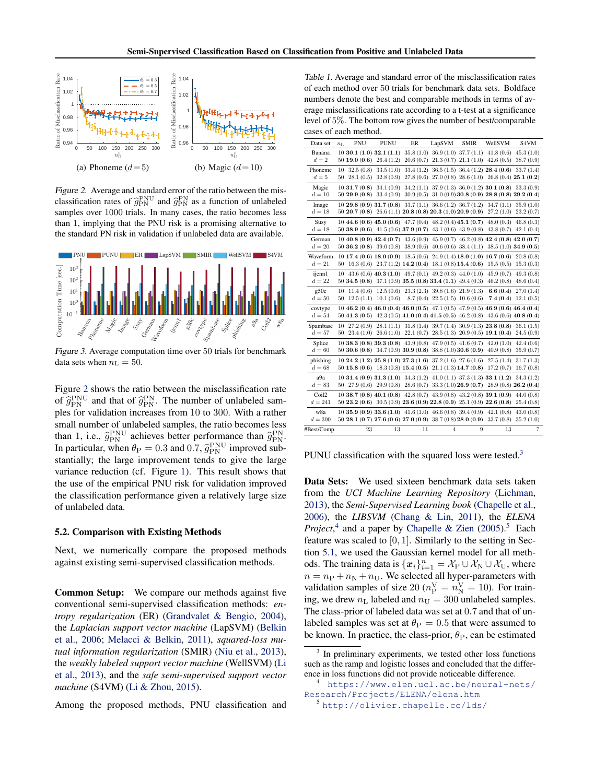<span id="page-6-0"></span>

Figure 2. Average and standard error of the ratio between the misclassification rates of  $\hat{g}_{PN}^{PNU}$  and  $\hat{g}_{PN}^{PN}$  as a function of unlabeled<br>complex over 1000 trials. In many agent, the ratio becomes less samples over 1000 trials. In many cases, the ratio becomes less than 1, implying that the PNU risk is a promising alternative to the standard PN risk in validation if unlabeled data are available.



Figure 3. Average computation time over 50 trials for benchmark data sets when  $n_{\rm L} = 50$ .

Figure 2 shows the ratio between the misclassification rate of  $\hat{g}_{\text{PN}}^{\text{PNU}}$  and that of  $\hat{g}_{\text{PN}}^{\text{PN}}$ . The number of unlabeled samples for validation increases from 10 to 300. With a rather ples for validation increases from 10 to 300. With a rather small number of unlabeled samples, the ratio becomes less than 1, i.e.,  $\hat{g}_{PN}^{PNU}$  achieves better performance than  $\hat{g}_{PN}^{PNU}$ <br>In particular when  $\theta_{\rm D} = 0.3$  and  $0.7$   $\hat{g}_{NNU}^{PNU}$  improved sub In particular, when  $\theta_P = 0.3$  and 0.7,  $\hat{g}_{PN}^{PNU}$  improved sub-<br>stantially: the large improvement tends to give the large stantially; the large improvement tends to give the large variance reduction (cf. Figure [1\)](#page-5-0). This result shows that the use of the empirical PNU risk for validation improved the classification performance given a relatively large size of unlabeled data.

## 5.2. Comparison with Existing Methods

Next, we numerically compare the proposed methods against existing semi-supervised classification methods.

Common Setup: We compare our methods against five conventional semi-supervised classification methods: *entropy regularization* (ER) [\(Grandvalet & Bengio,](#page-8-0) [2004\)](#page-8-0), the *Laplacian support vector machine* (LapSVM) [\(Belkin](#page-8-0) [et al.,](#page-8-0) [2006;](#page-8-0) [Melacci & Belkin,](#page-8-0) [2011\)](#page-8-0), *squared-loss mutual information regularization* (SMIR) [\(Niu et al.,](#page-8-0) [2013\)](#page-8-0), the *weakly labeled support vector machine* (WellSVM) [\(Li](#page-8-0) [et al.,](#page-8-0) [2013\)](#page-8-0), and the *safe semi-supervised support vector machine* (S4VM) [\(Li & Zhou,](#page-8-0) [2015\)](#page-8-0).

Among the proposed methods, PNU classification and

Table 1. Average and standard error of the misclassification rates of each method over 50 trials for benchmark data sets. Boldface numbers denote the best and comparable methods in terms of average misclassifications rate according to a t-test at a significance level of 5%. The bottom row gives the number of best/comparable cases of each method.

| PNU<br><b>PUNU</b><br>ER<br>LapSVM<br><b>SMIR</b><br>WellSVM<br>S4VM<br>Data set<br>$n_{\rm L}$<br>35.8 (1.0) 36.9 (1.0) 37.7 (1.1)<br>Banana<br>$10$ 30.1 $(1.0)$ 32.1 $(1.1)$<br>41.8(0.6)<br>45.3(1.0)<br>$d=2$<br>$20.6(0.7)$ $21.3(0.7)$ $21.1(1.0)$<br>$50\,19.0\,(0.6)\,26.4\,(1.2)$<br>42.6(0.5)<br>38.7(0.9)<br>Phoneme<br>$36.5(1.5)$ $36.4(1.2)$ $28.4(0.6)$<br>10<br>32.5(0.8)<br>33.5(1.0)<br>33.4(1.2)<br>33.7(1.4)<br>$d=5$<br>50<br>28.1(0.5)<br>32.8(0.9)<br>27.8(0.6)<br>$27.0(0.8)$ $28.6(1.0)$ $26.8(0.4)$ $25.1(0.2)$<br>$37.9(1.3)$ $36.0(1.2)$ $30.1(0.8)$<br>Magic<br>1031.7(0.8)<br>34.1(0.9)<br>34.2(1.1)<br>33.3 (0.9)<br>$d=10\,$<br>$30.9(0.5)$ $31.0(0.9)$ $30.8(0.9)$ $28.8(0.8)$ $29.2(0.4)$<br>5029.9(0.8)<br>33.4(0.9)<br>$10\ 29.8\ (0.9)\ 31.7\ (0.8)\ 33.7\ (1.1)\ 36.6\ (1.2)\ 36.7\ (1.2)$<br>34.7(1.1)<br>35.9(1.0)<br>Image<br>$d=18$<br>$50\ 20.7\ (0.8)\ 26.6\ (1.1)\ 20.8\ (0.8)\ 20.3\ (1.0)\ 20.9\ (0.9)$<br>27.2(1.0)<br>23.2(0.7)<br>$10\,44.6\,(0.6)\,45.0\,(0.6)\,47.7\,(0.4)\,48.2\,(0.4)\,45.1\,(0.7)$<br>48.0(0.3)<br>Susy<br>46.8(0.3)<br>$d=18$<br>50 38.9 (0.6) 41.5 (0.6) 37.9 (0.7) 43.1 (0.6) 43.9 (0.8)<br>43.8(0.7)<br>42.1(0.4)<br>$10\ 40.8\ (0.9)\ 42.4\ (0.7)\ 43.6\ (0.9)\ 45.9\ (0.7)\ 46.2\ (0.8)\ 42.4\ (0.8)\ 42.0\ (0.7)$<br>German<br>$d=20$<br>$50\,36.2\,(0.8)\,39.0\,(0.8)\,38.9\,(0.6)\,40.6\,(0.6)\,38.4\,(1.1)$<br>$38.5(1.0)$ 34.9 (0.5)<br>Waveform<br>$10\,17.4\,(0.6)\,18.0\,(0.9)\,18.5\,(0.6)\,24.9\,(1.4)\,18.0\,(1.0)\,16.7\,(0.6)$<br>20.8(0.8)<br>$d=21$<br>50<br>$16.3(0.6)$ $23.7(1.2)$ <b>14.2</b> (0.4) 18.1 (0.8) <b>15.4</b> (0.6)<br>15.5(0.5)<br>15.3(0.3)<br>$43.6(0.6)$ $40.3(1.0)$ $49.7(0.1)$ $49.2(0.3)$ $44.0(1.0)$<br>ijcnn1<br>45.9(0.7)<br>49.3(0.8)<br>10<br>$d=22$<br>$50$ 34.5 (0.8) 37.1 (0.9) 35.5 (0.8) 33.4 (1.1) 49.4 (0.3)<br>46.2(0.8)<br>48.6(0.4)<br>g50c<br>11.4(0.6)<br>12.5(0.6)<br>$23.3(2.3)$ 39.8 (1.6) 21.9 (1.3)<br>6.6(0.4)<br>27.0(1.4)<br>10<br>$d=50$<br>50<br>$8.7(0.4)$ $22.5(1.5)$ $10.6(0.6)$<br>7.4(0.4)<br>12.5(1.1)<br>10.1(0.6)<br>12.1(0.5)<br>$10\,46.2\,(0.4)\,46.0\,(0.4)\,46.0\,(0.5)\,47.1\,(0.5)\,47.9\,(0.5)\,46.9\,(0.6)\,46.4\,(0.4)$<br>covtype<br>$d=54$<br>$50\ 41.3\ (0.5)\ 42.3\ (0.5)\ 41.0\ (0.4)\ 41.5\ (0.5)\ 46.2\ (0.8)\ 43.6\ (0.6)\ 40.8\ (0.4)$<br>28.1 (1.1) 31.8 (1.4) 39.7 (1.4) 30.9 (1.3) 23.8 (0.8)<br>Spambase<br>27.2 (0.9)<br>36.1(1.5)<br>10<br>$d=57$<br>$26.6(1.0)$ $22.1(0.7)$ $28.5(1.3)$ $20.9(0.5)$ <b>19.1</b> $(0.4)$<br>$50\quad23.4\,(1.0)$<br>24.5(0.9)<br>$10$ 38.3 (0.8) 39.3 (0.8) 43.9 (0.8) 47.9 (0.5) 41.6 (0.7)<br>42.0(1.0)<br>Splice<br>42.4(0.6)<br>$d=60$<br>50 30.6 (0.8) 34.7 (0.9) 30.9 (0.8) 38.8 (1.0) 30.6 (0.9)<br>40.9(0.8)<br>35.9(0.7)<br>$10\ 24.2\ (1.2)\ 25.8\ (1.0)\ 27.3\ (1.6)\ 37.2\ (1.6)\ 27.6\ (1.6)$<br>27.5(1.4)<br>phishing<br>31.7(1.3)<br>$d=68$<br>$50\,15.8\,(0.6)\,18.3\,(0.8)\,15.4\,(0.5)\,21.1\,(1.3)\,14.7\,(0.8)$<br>17.2(0.7)<br>16.7(0.8)<br>a9a<br>$10$ 31.4 (0.9) 31.3 (1.0) 34.3 (1.2) 41.0 (1.1) 37.3 (1.3) 33.1 (1.2)<br>34.3(1.2)<br>50 27.9 (0.6) 29.9 (0.8) 28.6 (0.7) 33.3 (1.0) 26.9 (0.7) 28.9 (0.8) 26.2 (0.4)<br>$d = 83$<br>Coil2<br>$10$ 38.7 (0.8) 40.1 (0.8) 42.8 (0.7) 43.9 (0.8) 43.2 (0.8) 39.1 (0.9)<br>44.0(0.8)<br>$50\,23.2\,(0.6)\,30.5\,(0.9)\,23.6\,(0.9)\,22.8\,(0.9)\,25.1\,(0.9)\,22.6\,(0.8)$ |           |  |  |  |           |
|------------------------------------------------------------------------------------------------------------------------------------------------------------------------------------------------------------------------------------------------------------------------------------------------------------------------------------------------------------------------------------------------------------------------------------------------------------------------------------------------------------------------------------------------------------------------------------------------------------------------------------------------------------------------------------------------------------------------------------------------------------------------------------------------------------------------------------------------------------------------------------------------------------------------------------------------------------------------------------------------------------------------------------------------------------------------------------------------------------------------------------------------------------------------------------------------------------------------------------------------------------------------------------------------------------------------------------------------------------------------------------------------------------------------------------------------------------------------------------------------------------------------------------------------------------------------------------------------------------------------------------------------------------------------------------------------------------------------------------------------------------------------------------------------------------------------------------------------------------------------------------------------------------------------------------------------------------------------------------------------------------------------------------------------------------------------------------------------------------------------------------------------------------------------------------------------------------------------------------------------------------------------------------------------------------------------------------------------------------------------------------------------------------------------------------------------------------------------------------------------------------------------------------------------------------------------------------------------------------------------------------------------------------------------------------------------------------------------------------------------------------------------------------------------------------------------------------------------------------------------------------------------------------------------------------------------------------------------------------------------------------------------------------------------------------------------------------------------------------------------------------------------------------------------------------------------------------------------------------------------------------------------------------------------------------------------------------------------------------------|-----------|--|--|--|-----------|
|                                                                                                                                                                                                                                                                                                                                                                                                                                                                                                                                                                                                                                                                                                                                                                                                                                                                                                                                                                                                                                                                                                                                                                                                                                                                                                                                                                                                                                                                                                                                                                                                                                                                                                                                                                                                                                                                                                                                                                                                                                                                                                                                                                                                                                                                                                                                                                                                                                                                                                                                                                                                                                                                                                                                                                                                                                                                                                                                                                                                                                                                                                                                                                                                                                                                                                                                                                  |           |  |  |  |           |
|                                                                                                                                                                                                                                                                                                                                                                                                                                                                                                                                                                                                                                                                                                                                                                                                                                                                                                                                                                                                                                                                                                                                                                                                                                                                                                                                                                                                                                                                                                                                                                                                                                                                                                                                                                                                                                                                                                                                                                                                                                                                                                                                                                                                                                                                                                                                                                                                                                                                                                                                                                                                                                                                                                                                                                                                                                                                                                                                                                                                                                                                                                                                                                                                                                                                                                                                                                  |           |  |  |  |           |
|                                                                                                                                                                                                                                                                                                                                                                                                                                                                                                                                                                                                                                                                                                                                                                                                                                                                                                                                                                                                                                                                                                                                                                                                                                                                                                                                                                                                                                                                                                                                                                                                                                                                                                                                                                                                                                                                                                                                                                                                                                                                                                                                                                                                                                                                                                                                                                                                                                                                                                                                                                                                                                                                                                                                                                                                                                                                                                                                                                                                                                                                                                                                                                                                                                                                                                                                                                  |           |  |  |  |           |
|                                                                                                                                                                                                                                                                                                                                                                                                                                                                                                                                                                                                                                                                                                                                                                                                                                                                                                                                                                                                                                                                                                                                                                                                                                                                                                                                                                                                                                                                                                                                                                                                                                                                                                                                                                                                                                                                                                                                                                                                                                                                                                                                                                                                                                                                                                                                                                                                                                                                                                                                                                                                                                                                                                                                                                                                                                                                                                                                                                                                                                                                                                                                                                                                                                                                                                                                                                  |           |  |  |  |           |
|                                                                                                                                                                                                                                                                                                                                                                                                                                                                                                                                                                                                                                                                                                                                                                                                                                                                                                                                                                                                                                                                                                                                                                                                                                                                                                                                                                                                                                                                                                                                                                                                                                                                                                                                                                                                                                                                                                                                                                                                                                                                                                                                                                                                                                                                                                                                                                                                                                                                                                                                                                                                                                                                                                                                                                                                                                                                                                                                                                                                                                                                                                                                                                                                                                                                                                                                                                  |           |  |  |  |           |
|                                                                                                                                                                                                                                                                                                                                                                                                                                                                                                                                                                                                                                                                                                                                                                                                                                                                                                                                                                                                                                                                                                                                                                                                                                                                                                                                                                                                                                                                                                                                                                                                                                                                                                                                                                                                                                                                                                                                                                                                                                                                                                                                                                                                                                                                                                                                                                                                                                                                                                                                                                                                                                                                                                                                                                                                                                                                                                                                                                                                                                                                                                                                                                                                                                                                                                                                                                  |           |  |  |  |           |
|                                                                                                                                                                                                                                                                                                                                                                                                                                                                                                                                                                                                                                                                                                                                                                                                                                                                                                                                                                                                                                                                                                                                                                                                                                                                                                                                                                                                                                                                                                                                                                                                                                                                                                                                                                                                                                                                                                                                                                                                                                                                                                                                                                                                                                                                                                                                                                                                                                                                                                                                                                                                                                                                                                                                                                                                                                                                                                                                                                                                                                                                                                                                                                                                                                                                                                                                                                  |           |  |  |  |           |
|                                                                                                                                                                                                                                                                                                                                                                                                                                                                                                                                                                                                                                                                                                                                                                                                                                                                                                                                                                                                                                                                                                                                                                                                                                                                                                                                                                                                                                                                                                                                                                                                                                                                                                                                                                                                                                                                                                                                                                                                                                                                                                                                                                                                                                                                                                                                                                                                                                                                                                                                                                                                                                                                                                                                                                                                                                                                                                                                                                                                                                                                                                                                                                                                                                                                                                                                                                  |           |  |  |  |           |
|                                                                                                                                                                                                                                                                                                                                                                                                                                                                                                                                                                                                                                                                                                                                                                                                                                                                                                                                                                                                                                                                                                                                                                                                                                                                                                                                                                                                                                                                                                                                                                                                                                                                                                                                                                                                                                                                                                                                                                                                                                                                                                                                                                                                                                                                                                                                                                                                                                                                                                                                                                                                                                                                                                                                                                                                                                                                                                                                                                                                                                                                                                                                                                                                                                                                                                                                                                  |           |  |  |  |           |
|                                                                                                                                                                                                                                                                                                                                                                                                                                                                                                                                                                                                                                                                                                                                                                                                                                                                                                                                                                                                                                                                                                                                                                                                                                                                                                                                                                                                                                                                                                                                                                                                                                                                                                                                                                                                                                                                                                                                                                                                                                                                                                                                                                                                                                                                                                                                                                                                                                                                                                                                                                                                                                                                                                                                                                                                                                                                                                                                                                                                                                                                                                                                                                                                                                                                                                                                                                  |           |  |  |  |           |
|                                                                                                                                                                                                                                                                                                                                                                                                                                                                                                                                                                                                                                                                                                                                                                                                                                                                                                                                                                                                                                                                                                                                                                                                                                                                                                                                                                                                                                                                                                                                                                                                                                                                                                                                                                                                                                                                                                                                                                                                                                                                                                                                                                                                                                                                                                                                                                                                                                                                                                                                                                                                                                                                                                                                                                                                                                                                                                                                                                                                                                                                                                                                                                                                                                                                                                                                                                  |           |  |  |  |           |
|                                                                                                                                                                                                                                                                                                                                                                                                                                                                                                                                                                                                                                                                                                                                                                                                                                                                                                                                                                                                                                                                                                                                                                                                                                                                                                                                                                                                                                                                                                                                                                                                                                                                                                                                                                                                                                                                                                                                                                                                                                                                                                                                                                                                                                                                                                                                                                                                                                                                                                                                                                                                                                                                                                                                                                                                                                                                                                                                                                                                                                                                                                                                                                                                                                                                                                                                                                  |           |  |  |  |           |
|                                                                                                                                                                                                                                                                                                                                                                                                                                                                                                                                                                                                                                                                                                                                                                                                                                                                                                                                                                                                                                                                                                                                                                                                                                                                                                                                                                                                                                                                                                                                                                                                                                                                                                                                                                                                                                                                                                                                                                                                                                                                                                                                                                                                                                                                                                                                                                                                                                                                                                                                                                                                                                                                                                                                                                                                                                                                                                                                                                                                                                                                                                                                                                                                                                                                                                                                                                  |           |  |  |  |           |
|                                                                                                                                                                                                                                                                                                                                                                                                                                                                                                                                                                                                                                                                                                                                                                                                                                                                                                                                                                                                                                                                                                                                                                                                                                                                                                                                                                                                                                                                                                                                                                                                                                                                                                                                                                                                                                                                                                                                                                                                                                                                                                                                                                                                                                                                                                                                                                                                                                                                                                                                                                                                                                                                                                                                                                                                                                                                                                                                                                                                                                                                                                                                                                                                                                                                                                                                                                  |           |  |  |  |           |
|                                                                                                                                                                                                                                                                                                                                                                                                                                                                                                                                                                                                                                                                                                                                                                                                                                                                                                                                                                                                                                                                                                                                                                                                                                                                                                                                                                                                                                                                                                                                                                                                                                                                                                                                                                                                                                                                                                                                                                                                                                                                                                                                                                                                                                                                                                                                                                                                                                                                                                                                                                                                                                                                                                                                                                                                                                                                                                                                                                                                                                                                                                                                                                                                                                                                                                                                                                  |           |  |  |  |           |
|                                                                                                                                                                                                                                                                                                                                                                                                                                                                                                                                                                                                                                                                                                                                                                                                                                                                                                                                                                                                                                                                                                                                                                                                                                                                                                                                                                                                                                                                                                                                                                                                                                                                                                                                                                                                                                                                                                                                                                                                                                                                                                                                                                                                                                                                                                                                                                                                                                                                                                                                                                                                                                                                                                                                                                                                                                                                                                                                                                                                                                                                                                                                                                                                                                                                                                                                                                  |           |  |  |  |           |
|                                                                                                                                                                                                                                                                                                                                                                                                                                                                                                                                                                                                                                                                                                                                                                                                                                                                                                                                                                                                                                                                                                                                                                                                                                                                                                                                                                                                                                                                                                                                                                                                                                                                                                                                                                                                                                                                                                                                                                                                                                                                                                                                                                                                                                                                                                                                                                                                                                                                                                                                                                                                                                                                                                                                                                                                                                                                                                                                                                                                                                                                                                                                                                                                                                                                                                                                                                  |           |  |  |  |           |
|                                                                                                                                                                                                                                                                                                                                                                                                                                                                                                                                                                                                                                                                                                                                                                                                                                                                                                                                                                                                                                                                                                                                                                                                                                                                                                                                                                                                                                                                                                                                                                                                                                                                                                                                                                                                                                                                                                                                                                                                                                                                                                                                                                                                                                                                                                                                                                                                                                                                                                                                                                                                                                                                                                                                                                                                                                                                                                                                                                                                                                                                                                                                                                                                                                                                                                                                                                  |           |  |  |  |           |
|                                                                                                                                                                                                                                                                                                                                                                                                                                                                                                                                                                                                                                                                                                                                                                                                                                                                                                                                                                                                                                                                                                                                                                                                                                                                                                                                                                                                                                                                                                                                                                                                                                                                                                                                                                                                                                                                                                                                                                                                                                                                                                                                                                                                                                                                                                                                                                                                                                                                                                                                                                                                                                                                                                                                                                                                                                                                                                                                                                                                                                                                                                                                                                                                                                                                                                                                                                  |           |  |  |  |           |
|                                                                                                                                                                                                                                                                                                                                                                                                                                                                                                                                                                                                                                                                                                                                                                                                                                                                                                                                                                                                                                                                                                                                                                                                                                                                                                                                                                                                                                                                                                                                                                                                                                                                                                                                                                                                                                                                                                                                                                                                                                                                                                                                                                                                                                                                                                                                                                                                                                                                                                                                                                                                                                                                                                                                                                                                                                                                                                                                                                                                                                                                                                                                                                                                                                                                                                                                                                  |           |  |  |  |           |
|                                                                                                                                                                                                                                                                                                                                                                                                                                                                                                                                                                                                                                                                                                                                                                                                                                                                                                                                                                                                                                                                                                                                                                                                                                                                                                                                                                                                                                                                                                                                                                                                                                                                                                                                                                                                                                                                                                                                                                                                                                                                                                                                                                                                                                                                                                                                                                                                                                                                                                                                                                                                                                                                                                                                                                                                                                                                                                                                                                                                                                                                                                                                                                                                                                                                                                                                                                  |           |  |  |  |           |
|                                                                                                                                                                                                                                                                                                                                                                                                                                                                                                                                                                                                                                                                                                                                                                                                                                                                                                                                                                                                                                                                                                                                                                                                                                                                                                                                                                                                                                                                                                                                                                                                                                                                                                                                                                                                                                                                                                                                                                                                                                                                                                                                                                                                                                                                                                                                                                                                                                                                                                                                                                                                                                                                                                                                                                                                                                                                                                                                                                                                                                                                                                                                                                                                                                                                                                                                                                  |           |  |  |  |           |
|                                                                                                                                                                                                                                                                                                                                                                                                                                                                                                                                                                                                                                                                                                                                                                                                                                                                                                                                                                                                                                                                                                                                                                                                                                                                                                                                                                                                                                                                                                                                                                                                                                                                                                                                                                                                                                                                                                                                                                                                                                                                                                                                                                                                                                                                                                                                                                                                                                                                                                                                                                                                                                                                                                                                                                                                                                                                                                                                                                                                                                                                                                                                                                                                                                                                                                                                                                  |           |  |  |  |           |
|                                                                                                                                                                                                                                                                                                                                                                                                                                                                                                                                                                                                                                                                                                                                                                                                                                                                                                                                                                                                                                                                                                                                                                                                                                                                                                                                                                                                                                                                                                                                                                                                                                                                                                                                                                                                                                                                                                                                                                                                                                                                                                                                                                                                                                                                                                                                                                                                                                                                                                                                                                                                                                                                                                                                                                                                                                                                                                                                                                                                                                                                                                                                                                                                                                                                                                                                                                  |           |  |  |  |           |
|                                                                                                                                                                                                                                                                                                                                                                                                                                                                                                                                                                                                                                                                                                                                                                                                                                                                                                                                                                                                                                                                                                                                                                                                                                                                                                                                                                                                                                                                                                                                                                                                                                                                                                                                                                                                                                                                                                                                                                                                                                                                                                                                                                                                                                                                                                                                                                                                                                                                                                                                                                                                                                                                                                                                                                                                                                                                                                                                                                                                                                                                                                                                                                                                                                                                                                                                                                  |           |  |  |  |           |
|                                                                                                                                                                                                                                                                                                                                                                                                                                                                                                                                                                                                                                                                                                                                                                                                                                                                                                                                                                                                                                                                                                                                                                                                                                                                                                                                                                                                                                                                                                                                                                                                                                                                                                                                                                                                                                                                                                                                                                                                                                                                                                                                                                                                                                                                                                                                                                                                                                                                                                                                                                                                                                                                                                                                                                                                                                                                                                                                                                                                                                                                                                                                                                                                                                                                                                                                                                  |           |  |  |  |           |
|                                                                                                                                                                                                                                                                                                                                                                                                                                                                                                                                                                                                                                                                                                                                                                                                                                                                                                                                                                                                                                                                                                                                                                                                                                                                                                                                                                                                                                                                                                                                                                                                                                                                                                                                                                                                                                                                                                                                                                                                                                                                                                                                                                                                                                                                                                                                                                                                                                                                                                                                                                                                                                                                                                                                                                                                                                                                                                                                                                                                                                                                                                                                                                                                                                                                                                                                                                  |           |  |  |  |           |
|                                                                                                                                                                                                                                                                                                                                                                                                                                                                                                                                                                                                                                                                                                                                                                                                                                                                                                                                                                                                                                                                                                                                                                                                                                                                                                                                                                                                                                                                                                                                                                                                                                                                                                                                                                                                                                                                                                                                                                                                                                                                                                                                                                                                                                                                                                                                                                                                                                                                                                                                                                                                                                                                                                                                                                                                                                                                                                                                                                                                                                                                                                                                                                                                                                                                                                                                                                  |           |  |  |  |           |
|                                                                                                                                                                                                                                                                                                                                                                                                                                                                                                                                                                                                                                                                                                                                                                                                                                                                                                                                                                                                                                                                                                                                                                                                                                                                                                                                                                                                                                                                                                                                                                                                                                                                                                                                                                                                                                                                                                                                                                                                                                                                                                                                                                                                                                                                                                                                                                                                                                                                                                                                                                                                                                                                                                                                                                                                                                                                                                                                                                                                                                                                                                                                                                                                                                                                                                                                                                  |           |  |  |  |           |
|                                                                                                                                                                                                                                                                                                                                                                                                                                                                                                                                                                                                                                                                                                                                                                                                                                                                                                                                                                                                                                                                                                                                                                                                                                                                                                                                                                                                                                                                                                                                                                                                                                                                                                                                                                                                                                                                                                                                                                                                                                                                                                                                                                                                                                                                                                                                                                                                                                                                                                                                                                                                                                                                                                                                                                                                                                                                                                                                                                                                                                                                                                                                                                                                                                                                                                                                                                  |           |  |  |  |           |
|                                                                                                                                                                                                                                                                                                                                                                                                                                                                                                                                                                                                                                                                                                                                                                                                                                                                                                                                                                                                                                                                                                                                                                                                                                                                                                                                                                                                                                                                                                                                                                                                                                                                                                                                                                                                                                                                                                                                                                                                                                                                                                                                                                                                                                                                                                                                                                                                                                                                                                                                                                                                                                                                                                                                                                                                                                                                                                                                                                                                                                                                                                                                                                                                                                                                                                                                                                  | $d = 241$ |  |  |  | 25.4(0.8) |
| w8a<br>$10$ 35.9 (0.9) 33.6 (1.0) 41.6 (1.0) 46.6 (0.8) 39.4 (0.9)<br>42.1(0.8)<br>43.0(0.8)                                                                                                                                                                                                                                                                                                                                                                                                                                                                                                                                                                                                                                                                                                                                                                                                                                                                                                                                                                                                                                                                                                                                                                                                                                                                                                                                                                                                                                                                                                                                                                                                                                                                                                                                                                                                                                                                                                                                                                                                                                                                                                                                                                                                                                                                                                                                                                                                                                                                                                                                                                                                                                                                                                                                                                                                                                                                                                                                                                                                                                                                                                                                                                                                                                                                     |           |  |  |  |           |
| $d = 300$<br>$5028.1(0.7)27.6(0.6)27.0(0.9)38.7(0.8)28.0(0.9)$<br>33.7(0.8)<br>35.2(1.0)                                                                                                                                                                                                                                                                                                                                                                                                                                                                                                                                                                                                                                                                                                                                                                                                                                                                                                                                                                                                                                                                                                                                                                                                                                                                                                                                                                                                                                                                                                                                                                                                                                                                                                                                                                                                                                                                                                                                                                                                                                                                                                                                                                                                                                                                                                                                                                                                                                                                                                                                                                                                                                                                                                                                                                                                                                                                                                                                                                                                                                                                                                                                                                                                                                                                         |           |  |  |  |           |
| 23<br>$\overline{7}$<br>13<br>11<br>$\overline{4}$<br>$\boldsymbol{9}$<br>13<br>#Best/Comp.                                                                                                                                                                                                                                                                                                                                                                                                                                                                                                                                                                                                                                                                                                                                                                                                                                                                                                                                                                                                                                                                                                                                                                                                                                                                                                                                                                                                                                                                                                                                                                                                                                                                                                                                                                                                                                                                                                                                                                                                                                                                                                                                                                                                                                                                                                                                                                                                                                                                                                                                                                                                                                                                                                                                                                                                                                                                                                                                                                                                                                                                                                                                                                                                                                                                      |           |  |  |  |           |

PUNU classification with the squared loss were tested.<sup>3</sup>

Data Sets: We used sixteen benchmark data sets taken from the *UCI Machine Learning Repository* [\(Lichman,](#page-8-0) [2013\)](#page-8-0), the *Semi-Supervised Learning book* [\(Chapelle et al.,](#page-8-0) [2006\)](#page-8-0), the *LIBSVM* [\(Chang & Lin,](#page-8-0) [2011\)](#page-8-0), the *ELENA* Project,<sup>4</sup> and a paper by [Chapelle & Zien](#page-8-0) [\(2005\)](#page-8-0).<sup>5</sup> Each feature was scaled to  $[0, 1]$ . Similarly to the setting in Section [5.1,](#page-5-0) we used the Gaussian kernel model for all methods. The training data is  $\{x_i\}_{i=1}^n = \mathcal{X}_{\mathrm{P}} \cup \mathcal{X}_{\mathrm{N}} \cup \mathcal{X}_{\mathrm{U}}$ , where  $n = n<sub>P</sub> + n<sub>N</sub> + n<sub>U</sub>$ . We selected all hyper-parameters with validation samples of size 20 ( $n_P^V = n_N^V = 10$ ). For training, we drew  $n<sub>L</sub>$  labeled and  $n<sub>U</sub> = 300$  unlabeled samples. The class-prior of labeled data was set at 0.7 and that of unlabeled samples was set at  $\theta_P = 0.5$  that were assumed to be known. In practice, the class-prior,  $\theta_{\rm P}$ , can be estimated

<sup>3</sup> In preliminary experiments, we tested other loss functions such as the ramp and logistic losses and concluded that the difference in loss functions did not provide noticeable difference.

[https://www.elen.ucl.ac.be/neural-nets/](https://www.elen.ucl.ac.be/neural-nets/Research/Projects/ELENA/elena.htm) [Research/Projects/ELENA/elena.htm](https://www.elen.ucl.ac.be/neural-nets/Research/Projects/ELENA/elena.htm)

<sup>5</sup> <http://olivier.chapelle.cc/lds/>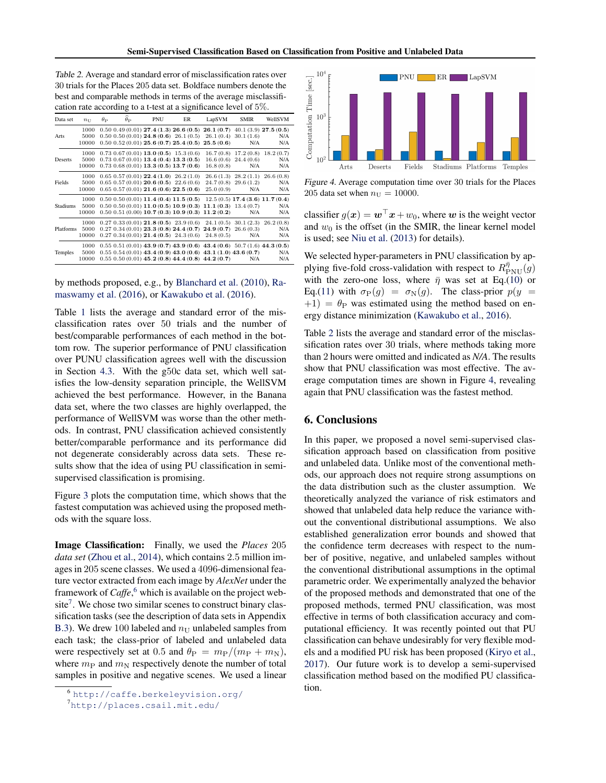<span id="page-7-0"></span>Table 2. Average and standard error of misclassification rates over 30 trials for the Places 205 data set. Boldface numbers denote the best and comparable methods in terms of the average misclassification rate according to a t-test at a significance level of 5%.

| Data set  | $n_{\rm H}$   | $\theta_{\rm P}$ | $\theta_{\rm D}$ | PNU | ER                                                                                                                                                                                              | LapSVM    | <b>SMIR</b>                     | WellSVM                             |
|-----------|---------------|------------------|------------------|-----|-------------------------------------------------------------------------------------------------------------------------------------------------------------------------------------------------|-----------|---------------------------------|-------------------------------------|
| Arts      | 1000          |                  |                  |     | $0.50$ $0.49$ (0.01) $27.4$ (1.3) $26.6$ (0.5) $26.1$ (0.7) $40.1$ (3.9) $27.5$ (0.5)<br>$0.50$ $0.50$ $(0.01)$ <b>24.8</b> $(0.6)$ <b>26.1</b> $(0.5)$ <b>26.1</b> $(0.4)$ <b>30.1</b> $(1.6)$ |           |                                 | N/A                                 |
|           | 5000<br>10000 |                  |                  |     | $0.50$ $0.52$ $(0.01)$ $25.6$ $(0.7)$ $25.4$ $(0.5)$ $25.5$ $(0.6)$                                                                                                                             |           | N/A                             | N/A                                 |
|           | 1000          |                  |                  |     | $0.73$ $0.67$ $(0.01)$ <b>13.0</b> $(0.5)$ 15.3 $(0.6)$                                                                                                                                         |           |                                 | $16.7(0.8)$ $17.2(0.8)$ $18.2(0.7)$ |
| Deserts   | 5000<br>10000 |                  |                  |     | $0.73$ $0.67$ $(0.01)$ $13.4$ $(0.4)$ $13.3$ $(0.5)$<br>$0.73$ $0.68$ $(0.01)$ $13.3$ $(0.5)$ $13.7$ $(0.6)$                                                                                    | 16.8(0.8) | $16.6(0.6)$ 24.4 $(0.6)$<br>N/A | N/A<br>N/A                          |
|           | 1000          |                  |                  |     | $0.65$ $0.57$ $(0.01)$ <b>22.4</b> $(1.0)$ $26.2$ $(1.0)$                                                                                                                                       |           |                                 | $26.6(1.3)$ $28.2(1.1)$ $26.6(0.8)$ |
| Fields    | 5000<br>10000 |                  |                  |     | $0.65$ $0.57$ $(0.01)$ <b>20.6</b> $(0.5)$ <b>22.6</b> $(0.6)$<br>$0.65$ $0.57$ $(0.01)$ $21.6$ $(0.6)$ $22.5$ $(0.6)$                                                                          | 25.0(0.9) | $24.7(0.8)$ 29.6 $(1.2)$<br>N/A | N/A<br>N/A                          |
|           | 1000          |                  |                  |     | $0.50$ $0.50$ $(0.01)$ $11.4$ $(0.4)$ $11.5$ $(0.5)$ $12.5$ $(0.5)$ $17.4$ $(3.6)$ $11.7$ $(0.4)$                                                                                               |           |                                 |                                     |
| Stadiums  | 5000<br>10000 |                  |                  |     | $0.50$ $0.50$ $(0.01)$ $11.0$ $(0.5)$ $10.9$ $(0.3)$ $11.1$ $(0.3)$ $13.4$ $(0.7)$<br>$0.50$ $0.51$ $(0.00)$ $10.7$ $(0.3)$ $10.9$ $(0.3)$ $11.2$ $(0.2)$                                       |           | N/A                             | N/A<br>N/A                          |
|           | 1000          |                  |                  |     | $0.27$ $0.33$ $(0.01)$ <b>21.8</b> $(0.5)$ $23.9$ $(0.6)$ $24.1$ $(0.5)$ $30.1$ $(2.3)$ $26.2$ $(0.8)$                                                                                          |           |                                 |                                     |
| Platforms | 5000<br>10000 |                  |                  |     | $0.27$ $0.34$ $(0.01)$ <b>23.3</b> $(0.8)$ <b>24.4</b> $(0.7)$ <b>24.9</b> $(0.7)$ <b>26.6</b> $(0.3)$<br>$0.27$ $0.34$ $(0.01)$ <b>21.4</b> $(0.5)$ $24.3$ $(0.6)$ $24.8$ $(0.5)$              |           | N/A                             | N/A<br>N/A                          |
|           | 1000          |                  |                  |     | $0.55$ $0.51$ $(0.01)$ $43.9$ $(0.7)$ $43.9$ $(0.6)$ $43.4$ $(0.6)$ $50.7$ $(1.6)$ $44.3$ $(0.5)$                                                                                               |           |                                 |                                     |
| Temples   | 5000<br>10000 |                  |                  |     | $0.55$ $0.54$ $(0.01)$ $43.4$ $(0.9)$ $43.0$ $(0.6)$ $43.1$ $(1.0)$ $43.6$ $(0.7)$<br>$0.55$ $0.50$ $(0.01)$ $45.2$ $(0.8)$ $44.4$ $(0.8)$ $44.2$ $(0.7)$                                       |           | N/A                             | N/A<br>N/A                          |

# by methods proposed, e.g., by [Blanchard et al.](#page-8-0) [\(2010\)](#page-8-0), [Ra](#page-8-0)[maswamy et al.](#page-8-0) [\(2016\)](#page-8-0), or [Kawakubo et al.](#page-8-0) [\(2016\)](#page-8-0).

Table [1](#page-6-0) lists the average and standard error of the misclassification rates over 50 trials and the number of best/comparable performances of each method in the bottom row. The superior performance of PNU classification over PUNU classification agrees well with the discussion in Section [4.3.](#page-4-0) With the g50c data set, which well satisfies the low-density separation principle, the WellSVM achieved the best performance. However, in the Banana data set, where the two classes are highly overlapped, the performance of WellSVM was worse than the other methods. In contrast, PNU classification achieved consistently better/comparable performance and its performance did not degenerate considerably across data sets. These results show that the idea of using PU classification in semisupervised classification is promising.

Figure [3](#page-6-0) plots the computation time, which shows that the fastest computation was achieved using the proposed methods with the square loss.

Image Classification: Finally, we used the *Places* 205 *data set* [\(Zhou et al.,](#page-9-0) [2014\)](#page-9-0), which contains 2.5 million images in 205 scene classes. We used a 4096-dimensional feature vector extracted from each image by *AlexNet* under the framework of *Caffe*, <sup>6</sup> which is available on the project web $site<sup>7</sup>$ . We chose two similar scenes to construct binary classification tasks (see the description of data sets in Appendix [B.3\)](#page-13-0). We drew 100 labeled and  $n_{\text{U}}$  unlabeled samples from each task; the class-prior of labeled and unlabeled data were respectively set at 0.5 and  $\theta_P = m_P/(m_P + m_N)$ , where  $m_P$  and  $m_N$  respectively denote the number of total samples in positive and negative scenes. We used a linear



Figure 4. Average computation time over 30 trials for the Places 205 data set when  $n_{\text{U}} = 10000$ .

classifier  $g(x) = \mathbf{w}^\top \mathbf{x} + w_0$ , where w is the weight vector and  $w_0$  is the offset (in the SMIR, the linear kernel model is used; see [Niu et al.](#page-8-0) [\(2013\)](#page-8-0) for details).

We selected hyper-parameters in PNU classification by applying five-fold cross-validation with respect to  $R_{\text{PNU}}^{\bar{\eta}}(g)$ with the zero-one loss, where  $\bar{\eta}$  was set at Eq.[\(10\)](#page-4-0) or Eq.[\(11\)](#page-4-0) with  $\sigma_P(g) = \sigma_N(g)$ . The class-prior  $p(y =$  $+1$ ) =  $\theta$ <sub>P</sub> was estimated using the method based on energy distance minimization [\(Kawakubo et al.,](#page-8-0) [2016\)](#page-8-0).

Table 2 lists the average and standard error of the misclassification rates over 30 trials, where methods taking more than 2 hours were omitted and indicated as *N/A*. The results show that PNU classification was most effective. The average computation times are shown in Figure 4, revealing again that PNU classification was the fastest method.

# 6. Conclusions

In this paper, we proposed a novel semi-supervised classification approach based on classification from positive and unlabeled data. Unlike most of the conventional methods, our approach does not require strong assumptions on the data distribution such as the cluster assumption. We theoretically analyzed the variance of risk estimators and showed that unlabeled data help reduce the variance without the conventional distributional assumptions. We also established generalization error bounds and showed that the confidence term decreases with respect to the number of positive, negative, and unlabeled samples without the conventional distributional assumptions in the optimal parametric order. We experimentally analyzed the behavior of the proposed methods and demonstrated that one of the proposed methods, termed PNU classification, was most effective in terms of both classification accuracy and computational efficiency. It was recently pointed out that PU classification can behave undesirably for very flexible models and a modified PU risk has been proposed [\(Kiryo et al.,](#page-8-0) [2017\)](#page-8-0). Our future work is to develop a semi-supervised classification method based on the modified PU classification.

<sup>6</sup> <http://caffe.berkeleyvision.org/>

<sup>7</sup><http://places.csail.mit.edu/>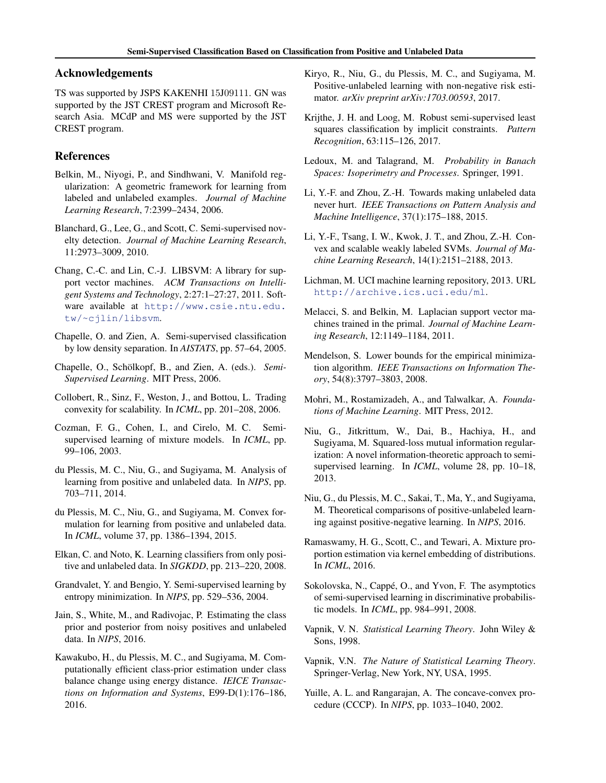# <span id="page-8-0"></span>Acknowledgements

TS was supported by JSPS KAKENHI 15J09111. GN was supported by the JST CREST program and Microsoft Research Asia. MCdP and MS were supported by the JST CREST program.

# References

- Belkin, M., Niyogi, P., and Sindhwani, V. Manifold regularization: A geometric framework for learning from labeled and unlabeled examples. *Journal of Machine Learning Research*, 7:2399–2434, 2006.
- Blanchard, G., Lee, G., and Scott, C. Semi-supervised novelty detection. *Journal of Machine Learning Research*, 11:2973–3009, 2010.
- Chang, C.-C. and Lin, C.-J. LIBSVM: A library for support vector machines. *ACM Transactions on Intelligent Systems and Technology*, 2:27:1–27:27, 2011. Software available at [http://www.csie.ntu.edu.](http://www.csie.ntu.edu.tw/~cjlin/libsvm) [tw/~cjlin/libsvm](http://www.csie.ntu.edu.tw/~cjlin/libsvm).
- Chapelle, O. and Zien, A. Semi-supervised classification by low density separation. In *AISTATS*, pp. 57–64, 2005.
- Chapelle, O., Schölkopf, B., and Zien, A. (eds.). *Semi-Supervised Learning*. MIT Press, 2006.
- Collobert, R., Sinz, F., Weston, J., and Bottou, L. Trading convexity for scalability. In *ICML*, pp. 201–208, 2006.
- Cozman, F. G., Cohen, I., and Cirelo, M. C. Semisupervised learning of mixture models. In *ICML*, pp. 99–106, 2003.
- du Plessis, M. C., Niu, G., and Sugiyama, M. Analysis of learning from positive and unlabeled data. In *NIPS*, pp. 703–711, 2014.
- du Plessis, M. C., Niu, G., and Sugiyama, M. Convex formulation for learning from positive and unlabeled data. In *ICML*, volume 37, pp. 1386–1394, 2015.
- Elkan, C. and Noto, K. Learning classifiers from only positive and unlabeled data. In *SIGKDD*, pp. 213–220, 2008.
- Grandvalet, Y. and Bengio, Y. Semi-supervised learning by entropy minimization. In *NIPS*, pp. 529–536, 2004.
- Jain, S., White, M., and Radivojac, P. Estimating the class prior and posterior from noisy positives and unlabeled data. In *NIPS*, 2016.
- Kawakubo, H., du Plessis, M. C., and Sugiyama, M. Computationally efficient class-prior estimation under class balance change using energy distance. *IEICE Transactions on Information and Systems*, E99-D(1):176–186, 2016.
- Kiryo, R., Niu, G., du Plessis, M. C., and Sugiyama, M. Positive-unlabeled learning with non-negative risk estimator. *arXiv preprint arXiv:1703.00593*, 2017.
- Krijthe, J. H. and Loog, M. Robust semi-supervised least squares classification by implicit constraints. *Pattern Recognition*, 63:115–126, 2017.
- Ledoux, M. and Talagrand, M. *Probability in Banach Spaces: Isoperimetry and Processes*. Springer, 1991.
- Li, Y.-F. and Zhou, Z.-H. Towards making unlabeled data never hurt. *IEEE Transactions on Pattern Analysis and Machine Intelligence*, 37(1):175–188, 2015.
- Li, Y.-F., Tsang, I. W., Kwok, J. T., and Zhou, Z.-H. Convex and scalable weakly labeled SVMs. *Journal of Machine Learning Research*, 14(1):2151–2188, 2013.
- Lichman, M. UCI machine learning repository, 2013. URL <http://archive.ics.uci.edu/ml>.
- Melacci, S. and Belkin, M. Laplacian support vector machines trained in the primal. *Journal of Machine Learning Research*, 12:1149–1184, 2011.
- Mendelson, S. Lower bounds for the empirical minimization algorithm. *IEEE Transactions on Information Theory*, 54(8):3797–3803, 2008.
- Mohri, M., Rostamizadeh, A., and Talwalkar, A. *Foundations of Machine Learning*. MIT Press, 2012.
- Niu, G., Jitkrittum, W., Dai, B., Hachiya, H., and Sugiyama, M. Squared-loss mutual information regularization: A novel information-theoretic approach to semisupervised learning. In *ICML*, volume 28, pp. 10–18, 2013.
- Niu, G., du Plessis, M. C., Sakai, T., Ma, Y., and Sugiyama, M. Theoretical comparisons of positive-unlabeled learning against positive-negative learning. In *NIPS*, 2016.
- Ramaswamy, H. G., Scott, C., and Tewari, A. Mixture proportion estimation via kernel embedding of distributions. In *ICML*, 2016.
- Sokolovska, N., Cappé, O., and Yvon, F. The asymptotics of semi-supervised learning in discriminative probabilistic models. In *ICML*, pp. 984–991, 2008.
- Vapnik, V. N. *Statistical Learning Theory*. John Wiley & Sons, 1998.
- Vapnik, V.N. *The Nature of Statistical Learning Theory*. Springer-Verlag, New York, NY, USA, 1995.
- Yuille, A. L. and Rangarajan, A. The concave-convex procedure (CCCP). In *NIPS*, pp. 1033–1040, 2002.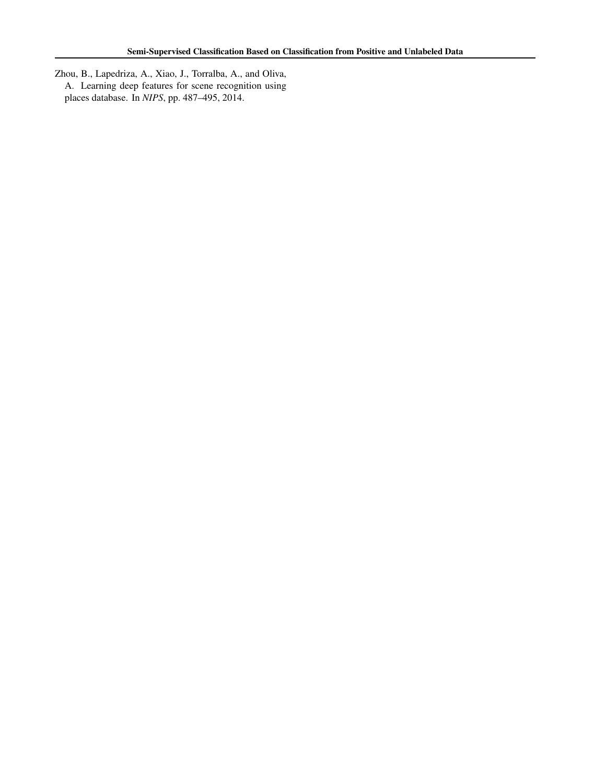<span id="page-9-0"></span>Zhou, B., Lapedriza, A., Xiao, J., Torralba, A., and Oliva, A. Learning deep features for scene recognition using places database. In *NIPS*, pp. 487–495, 2014.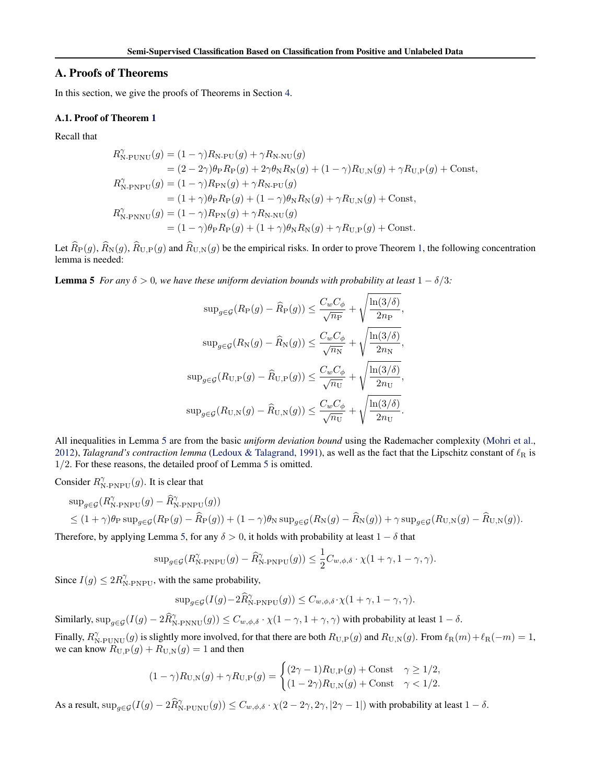# <span id="page-10-0"></span>A. Proofs of Theorems

In this section, we give the proofs of Theorems in Section [4.](#page-3-0)

### A.1. Proof of Theorem [1](#page-3-0)

Recall that

$$
R_{\text{N-PUNU}}^{\gamma}(g) = (1 - \gamma)R_{\text{N-PU}}(g) + \gamma R_{\text{N-NU}}(g)
$$
  
\n
$$
= (2 - 2\gamma)\theta_{\text{P}}R_{\text{P}}(g) + 2\gamma\theta_{\text{N}}R_{\text{N}}(g) + (1 - \gamma)R_{\text{U,N}}(g) + \gamma R_{\text{U,P}}(g) + \text{Const},
$$
  
\n
$$
R_{\text{N-PNPU}}^{\gamma}(g) = (1 - \gamma)R_{\text{PN}}(g) + \gamma R_{\text{N-PU}}(g)
$$
  
\n
$$
= (1 + \gamma)\theta_{\text{P}}R_{\text{P}}(g) + (1 - \gamma)\theta_{\text{N}}R_{\text{N}}(g) + \gamma R_{\text{U,N}}(g) + \text{Const},
$$
  
\n
$$
R_{\text{N-PNNU}}^{\gamma}(g) = (1 - \gamma)R_{\text{PN}}(g) + \gamma R_{\text{N-NU}}(g)
$$
  
\n
$$
= (1 - \gamma)\theta_{\text{P}}R_{\text{P}}(g) + (1 + \gamma)\theta_{\text{N}}R_{\text{N}}(g) + \gamma R_{\text{U,P}}(g) + \text{Const}.
$$

Let  $\widehat{R}_P(g)$ ,  $\widehat{R}_{N}(g)$ ,  $\widehat{R}_{U,P}(g)$  and  $\widehat{R}_{U,N}(g)$  be the empirical risks. In order to prove Theorem [1,](#page-3-0) the following concentration lemma is needed:

**Lemma 5** *For any*  $\delta > 0$ *, we have these uniform deviation bounds with probability at least*  $1 - \delta/3$ *:* 

$$
\sup_{g \in \mathcal{G}} (R_{\mathcal{P}}(g) - \widehat{R}_{\mathcal{P}}(g)) \le \frac{C_w C_{\phi}}{\sqrt{n_{\mathcal{P}}}} + \sqrt{\frac{\ln(3/\delta)}{2n_{\mathcal{P}}}},
$$

$$
\sup_{g \in \mathcal{G}} (R_{\mathcal{N}}(g) - \widehat{R}_{\mathcal{N}}(g)) \le \frac{C_w C_{\phi}}{\sqrt{n_{\mathcal{N}}}} + \sqrt{\frac{\ln(3/\delta)}{2n_{\mathcal{N}}}},
$$

$$
\sup_{g \in \mathcal{G}} (R_{\mathcal{U},\mathcal{P}}(g) - \widehat{R}_{\mathcal{U},\mathcal{P}}(g)) \le \frac{C_w C_{\phi}}{\sqrt{n_{\mathcal{U}}}} + \sqrt{\frac{\ln(3/\delta)}{2n_{\mathcal{U}}}},
$$

$$
\sup_{g \in \mathcal{G}} (R_{\mathcal{U},\mathcal{N}}(g) - \widehat{R}_{\mathcal{U},\mathcal{N}}(g)) \le \frac{C_w C_{\phi}}{\sqrt{n_{\mathcal{U}}}} + \sqrt{\frac{\ln(3/\delta)}{2n_{\mathcal{U}}}}.
$$

All inequalities in Lemma 5 are from the basic *uniform deviation bound* using the Rademacher complexity [\(Mohri et al.,](#page-8-0) [2012\)](#page-8-0), *Talagrand's contraction lemma* [\(Ledoux & Talagrand,](#page-8-0) [1991\)](#page-8-0), as well as the fact that the Lipschitz constant of  $\ell_R$  is 1/2. For these reasons, the detailed proof of Lemma 5 is omitted.

Consider  $R_{\text{N-PNPU}}^{\gamma}(g)$ . It is clear that

$$
\begin{split} &\sup_{g\in\mathcal{G}}(R^{\gamma}_{\text{N-PNPU}}(g)-\widehat{R}^{\gamma}_{\text{N-PNPU}}(g))\\ &\leq (1+\gamma)\theta_{\text{P}}\sup_{g\in\mathcal{G}}(R_{\text{P}}(g)-\widehat{R}_{\text{P}}(g)) + (1-\gamma)\theta_{\text{N}}\sup_{g\in\mathcal{G}}(R_{\text{N}}(g)-\widehat{R}_{\text{N}}(g)) + \gamma\sup_{g\in\mathcal{G}}(R_{\text{U,N}}(g)-\widehat{R}_{\text{U,N}}(g)).\end{split}
$$

Therefore, by applying Lemma 5, for any  $\delta > 0$ , it holds with probability at least  $1 - \delta$  that

$$
\text{sup}_{g \in \mathcal{G}} (R^{\gamma}_{\text{N-PNPU}}(g) - \widehat{R}^{\gamma}_{\text{N-PNPU}}(g)) \leq \frac{1}{2} C_{w,\phi,\delta} \cdot \chi(1+\gamma, 1-\gamma, \gamma).
$$

Since  $I(g) \leq 2R_{\text{N-PNPU}}^{\gamma}$ , with the same probability,

$$
\sup_{g \in \mathcal{G}} (I(g) - 2\widehat{R}_{N\text{-}PNPU}^{\gamma}(g)) \le C_{w,\phi,\delta} \cdot \chi(1 + \gamma, 1 - \gamma, \gamma).
$$

Similarly,  $\sup_{g \in \mathcal{G}} (I(g) - 2\widehat{R}_{N\text{-PNNU}}^{\gamma}(g)) \leq C_{w,\phi,\delta} \cdot \chi(1-\gamma, 1+\gamma, \gamma)$  with probability at least  $1-\delta$ . Finally,  $R_{\text{N-PUNU}}^{\gamma}(g)$  is slightly more involved, for that there are both  $R_{\text{U,P}}(g)$  and  $R_{\text{U,N}}(g)$ . From  $\ell_{\text{R}}(m)+\ell_{\text{R}}(-m) = 1$ , we can know  $R_{U,P}(g) + R_{U,N}(g) = 1$  and then

$$
(1 - \gamma)R_{\mathcal{U},\mathcal{N}}(g) + \gamma R_{\mathcal{U},\mathcal{P}}(g) = \begin{cases} (2\gamma - 1)R_{\mathcal{U},\mathcal{P}}(g) + \text{Const} & \gamma \ge 1/2, \\ (1 - 2\gamma)R_{\mathcal{U},\mathcal{N}}(g) + \text{Const} & \gamma < 1/2. \end{cases}
$$

As a result,  $\sup_{g \in \mathcal{G}} (I(g) - 2\widehat{R}_{N\text{-PUNU}}^{\gamma}(g)) \leq C_{w,\phi,\delta} \cdot \chi(2 - 2\gamma, 2\gamma, |2\gamma - 1|)$  with probability at least  $1 - \delta$ .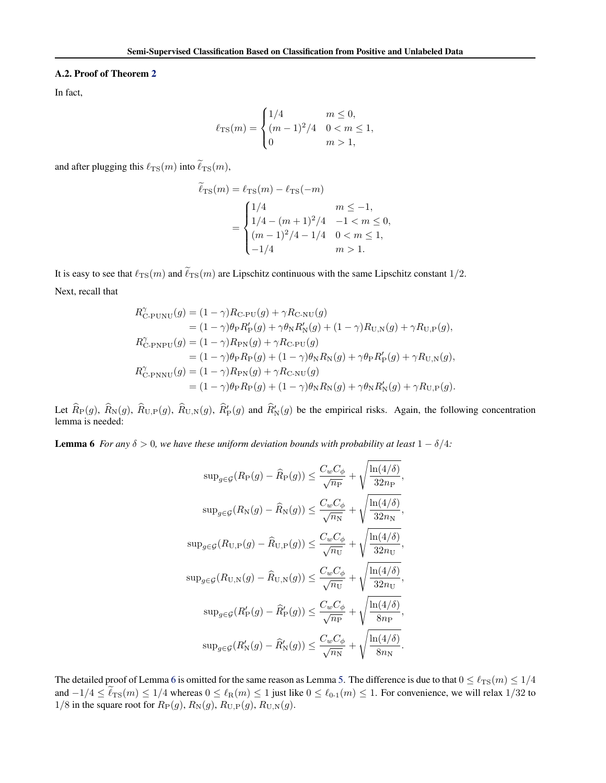### <span id="page-11-0"></span>A.2. Proof of Theorem [2](#page-3-0)

In fact,

$$
\ell_{\rm TS}(m) = \begin{cases} 1/4 & m \leq 0, \\ (m-1)^2/4 & 0 < m \leq 1, \\ 0 & m > 1, \end{cases}
$$

and after plugging this  $\ell_{\rm TS}(m)$  into  $\tilde{\ell}_{\rm TS}(m)$ ,

$$
\ell_{\text{TS}}(m) = \ell_{\text{TS}}(m) - \ell_{\text{TS}}(-m)
$$
  
= 
$$
\begin{cases} 1/4 & m \le -1, \\ 1/4 - (m+1)^2/4 & -1 < m \le 0, \\ (m-1)^2/4 - 1/4 & 0 < m \le 1, \\ -1/4 & m > 1. \end{cases}
$$

It is easy to see that  $\ell_{TS}(m)$  and  $\tilde{\ell}_{TS}(m)$  are Lipschitz continuous with the same Lipschitz constant  $1/2$ . Next, recall that

$$
R_{\text{C-PUNU}}^{\gamma}(g) = (1 - \gamma)R_{\text{C-PU}}(g) + \gamma R_{\text{C-NU}}(g)
$$
  
\n
$$
= (1 - \gamma)\theta_{\text{P}}R_{\text{P}}'(g) + \gamma \theta_{\text{N}}R_{\text{N}}'(g) + (1 - \gamma)R_{\text{U,N}}(g) + \gamma R_{\text{U,P}}(g),
$$
  
\n
$$
R_{\text{C-PNPU}}^{\gamma}(g) = (1 - \gamma)R_{\text{PN}}(g) + \gamma R_{\text{C-PU}}(g)
$$
  
\n
$$
= (1 - \gamma)\theta_{\text{P}}R_{\text{P}}(g) + (1 - \gamma)\theta_{\text{N}}R_{\text{N}}(g) + \gamma \theta_{\text{P}}R_{\text{P}}'(g) + \gamma R_{\text{U,N}}(g),
$$
  
\n
$$
R_{\text{C-PNNU}}^{\gamma}(g) = (1 - \gamma)R_{\text{PN}}(g) + \gamma R_{\text{C-NU}}(g)
$$
  
\n
$$
= (1 - \gamma)\theta_{\text{P}}R_{\text{P}}(g) + (1 - \gamma)\theta_{\text{N}}R_{\text{N}}(g) + \gamma \theta_{\text{N}}R_{\text{N}}'(g) + \gamma R_{\text{U,P}}(g).
$$

Let  $\widehat{R}_{P}(g)$ ,  $\widehat{R}_{U,P}(g)$ ,  $\widehat{R}_{U,N}(g)$ ,  $\widehat{R}_{P}'(g)$  and  $\widehat{R}_{N}'(g)$  be the empirical risks. Again, the following concentration lemma is needed:

**Lemma 6** *For any*  $\delta > 0$ *, we have these uniform deviation bounds with probability at least*  $1 - \delta/4$ *:* 

$$
\sup_{g \in \mathcal{G}} (R_{\mathcal{P}}(g) - \widehat{R}_{\mathcal{P}}(g)) \leq \frac{C_w C_{\phi}}{\sqrt{n_{\mathcal{P}}}} + \sqrt{\frac{\ln(4/\delta)}{32n_{\mathcal{P}}}},
$$
  
\n
$$
\sup_{g \in \mathcal{G}} (R_{\mathcal{N}}(g) - \widehat{R}_{\mathcal{N}}(g)) \leq \frac{C_w C_{\phi}}{\sqrt{n_{\mathcal{N}}}} + \sqrt{\frac{\ln(4/\delta)}{32n_{\mathcal{N}}}},
$$
  
\n
$$
\sup_{g \in \mathcal{G}} (R_{\mathcal{U},\mathcal{P}}(g) - \widehat{R}_{\mathcal{U},\mathcal{P}}(g)) \leq \frac{C_w C_{\phi}}{\sqrt{n_{\mathcal{U}}}} + \sqrt{\frac{\ln(4/\delta)}{32n_{\mathcal{U}}}},
$$
  
\n
$$
\sup_{g \in \mathcal{G}} (R_{\mathcal{U},\mathcal{N}}(g) - \widehat{R}_{\mathcal{U},\mathcal{N}}(g)) \leq \frac{C_w C_{\phi}}{\sqrt{n_{\mathcal{U}}}} + \sqrt{\frac{\ln(4/\delta)}{32n_{\mathcal{U}}}},
$$
  
\n
$$
\sup_{g \in \mathcal{G}} (R_{\mathcal{P}}'(g) - \widehat{R}_{\mathcal{P}}'(g)) \leq \frac{C_w C_{\phi}}{\sqrt{n_{\mathcal{P}}}} + \sqrt{\frac{\ln(4/\delta)}{8n_{\mathcal{P}}}},
$$
  
\n
$$
\sup_{g \in \mathcal{G}} (R_{\mathcal{N}}'(g) - \widehat{R}_{\mathcal{N}}'(g)) \leq \frac{C_w C_{\phi}}{\sqrt{n_{\mathcal{N}}}} + \sqrt{\frac{\ln(4/\delta)}{8n_{\mathcal{N}}}}.
$$

The detailed proof of Lemma 6 is omitted for the same reason as Lemma [5.](#page-10-0) The difference is due to that  $0 \leq \ell_{TS}(m) \leq 1/4$ and  $-1/4 \leq \tilde{\ell}_{\rm TS}(m) \leq 1/4$  whereas  $0 \leq \ell_{\rm R}(m) \leq 1$  just like  $0 \leq \ell_{0-1}(m) \leq 1$ . For convenience, we will relax  $1/32$  to  $1/8$  in the square root for  $R_P(g)$ ,  $R_N(g)$ ,  $R_{U,P}(g)$ ,  $R_{U,N}(g)$ .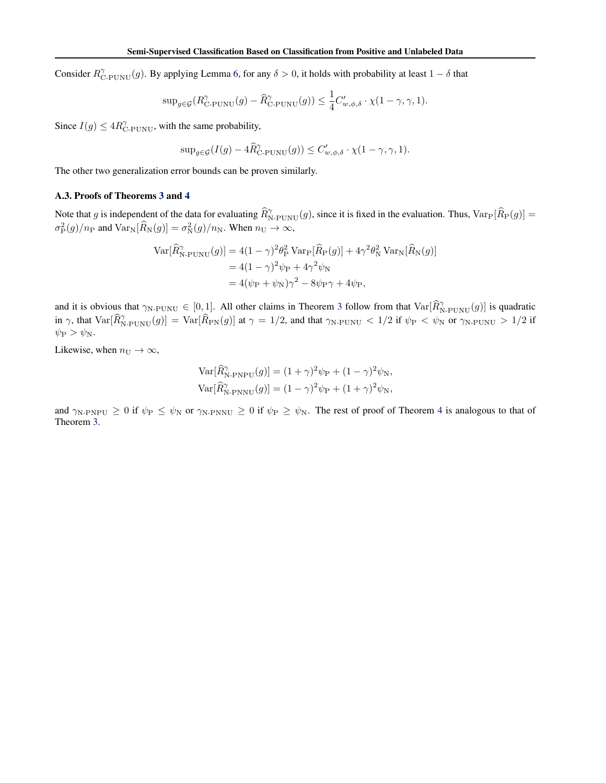Consider  $R_{\text{C-PUNU}}^{\gamma}(g)$ . By applying Lemma [6,](#page-11-0) for any  $\delta > 0$ , it holds with probability at least  $1 - \delta$  that

$$
\sup_{g \in \mathcal{G}} (R_{\text{C-PUNU}}^{\gamma}(g) - \widehat{R}_{\text{C-PUNU}}^{\gamma}(g)) \le \frac{1}{4} C'_{w,\phi,\delta} \cdot \chi(1 - \gamma, \gamma, 1).
$$

Since  $I(g) \le 4R_{\text{C-PUNU}}^{\gamma}$ , with the same probability,

$$
\sup_{g \in \mathcal{G}} (I(g) - 4\widehat{R}_{\text{C-PUNU}}^{\gamma}(g)) \le C'_{w,\phi,\delta} \cdot \chi(1 - \gamma, \gamma, 1).
$$

The other two generalization error bounds can be proven similarly.

#### A.3. Proofs of Theorems [3](#page-4-0) and [4](#page-4-0)

Note that g is independent of the data for evaluating  $\hat{R}_{N-PUNU}^{\gamma}(g)$ , since it is fixed in the evaluation. Thus,  $Var_{P}[\hat{R}_{P}(g)] =$  $\sigma_{\rm P}^2(g)/n_{\rm P}$  and  ${\rm Var}_{\rm N}[\widehat{R}_{\rm N}(g)] = \sigma_{\rm N}^2(g)/n_{\rm N}$ . When  $n_{\rm U} \to \infty$ ,

$$
\begin{aligned} \text{Var}[\widehat{R}_{\text{N-PUNU}}^{\gamma}(g)] &= 4(1-\gamma)^{2}\theta_{\text{P}}^{2} \text{Var}_{\text{P}}[\widehat{R}_{\text{P}}(g)] + 4\gamma^{2}\theta_{\text{N}}^{2} \text{Var}_{\text{N}}[\widehat{R}_{\text{N}}(g)] \\ &= 4(1-\gamma)^{2}\psi_{\text{P}} + 4\gamma^{2}\psi_{\text{N}} \\ &= 4(\psi_{\text{P}} + \psi_{\text{N}})\gamma^{2} - 8\psi_{\text{P}}\gamma + 4\psi_{\text{P}}, \end{aligned}
$$

and it is obvious that  $\gamma_{\text{N-PUNU}} \in [0, 1]$ . All other claims in Theorem [3](#page-4-0) follow from that  $\text{Var}[\widehat{R}_{\text{N-PUNU}}^{\gamma}(g)]$  is quadratic in  $\gamma$ , that  $\text{Var}[\widehat{R}_{N-PUNU}^{\gamma}(g)] = \text{Var}[\widehat{R}_{PN}(g)]$  at  $\gamma = 1/2$ , and that  $\gamma_{N-PUNU} < 1/2$  if  $\psi_{P} < \psi_{N}$  or  $\gamma_{N-PUNU} > 1/2$  if  $\psi_{\rm P} > \psi_{\rm N}.$ 

Likewise, when  $n_U \to \infty$ ,

$$
Var[\widehat{R}_{N\text{-PNPU}}^{\gamma}(g)] = (1+\gamma)^2 \psi_P + (1-\gamma)^2 \psi_N,
$$
  
\n
$$
Var[\widehat{R}_{N\text{-PNNU}}^{\gamma}(g)] = (1-\gamma)^2 \psi_P + (1+\gamma)^2 \psi_N,
$$

and  $\gamma_{\text{N-PNPU}} \ge 0$  if  $\psi_{\text{P}} \le \psi_{\text{N}}$  or  $\gamma_{\text{N-PNNU}} \ge 0$  if  $\psi_{\text{P}} \ge \psi_{\text{N}}$ . The rest of proof of Theorem [4](#page-4-0) is analogous to that of Theorem [3.](#page-4-0)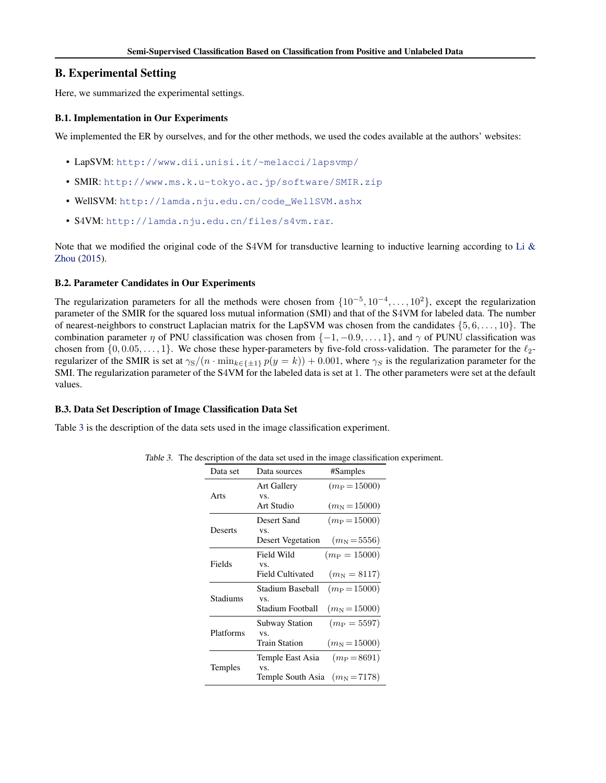# <span id="page-13-0"></span>B. Experimental Setting

Here, we summarized the experimental settings.

# B.1. Implementation in Our Experiments

We implemented the ER by ourselves, and for the other methods, we used the codes available at the authors' websites:

- LapSVM: <http://www.dii.unisi.it/~melacci/lapsvmp/>
- SMIR: <http://www.ms.k.u-tokyo.ac.jp/software/SMIR.zip>
- WellSVM: [http://lamda.nju.edu.cn/code\\_WellSVM.ashx](http://lamda.nju.edu.cn/code_WellSVM.ashx)
- S4VM: <http://lamda.nju.edu.cn/files/s4vm.rar>.

Note that we modified the original code of the S4VM for transductive learning to inductive learning according to Li  $\&$ [Zhou](#page-8-0) [\(2015\)](#page-8-0).

# B.2. Parameter Candidates in Our Experiments

The regularization parameters for all the methods were chosen from  $\{10^{-5}, 10^{-4}, \ldots, 10^{2}\}$ , except the regularization parameter of the SMIR for the squared loss mutual information (SMI) and that of the S4VM for labeled data. The number of nearest-neighbors to construct Laplacian matrix for the LapSVM was chosen from the candidates  $\{5, 6, \ldots, 10\}$ . The combination parameter  $\eta$  of PNU classification was chosen from  $\{-1, -0.9, \ldots, 1\}$ , and  $\gamma$  of PUNU classification was chosen from  $\{0, 0.05, \ldots, 1\}$ . We chose these hyper-parameters by five-fold cross-validation. The parameter for the  $\ell_2$ regularizer of the SMIR is set at  $\gamma_S/(n \cdot \min_{k \in \{\pm 1\}} p(y = k)) + 0.001$ , where  $\gamma_S$  is the regularization parameter for the SMI. The regularization parameter of the S4VM for the labeled data is set at 1. The other parameters were set at the default values.

### B.3. Data Set Description of Image Classification Data Set

Table 3 is the description of the data sets used in the image classification experiment.

|  |  |  |  | Table 3. The description of the data set used in the image classification experiment. |
|--|--|--|--|---------------------------------------------------------------------------------------|
|--|--|--|--|---------------------------------------------------------------------------------------|

| Data set  | Data sources                     | #Samples             |
|-----------|----------------------------------|----------------------|
|           | <b>Art Gallery</b>               | $(m_P = 15000)$      |
| Arts      | VS.                              |                      |
|           | Art Studio                       | $(m_{\rm N}=15000)$  |
|           | Desert Sand                      | $(m_P = 15000)$      |
| Deserts   | VS.                              |                      |
|           | <b>Desert Vegetation</b>         | $(m_{\rm N} = 5556)$ |
|           | Field Wild                       | $(m_P = 15000)$      |
| Fields    | VS.                              |                      |
|           | Field Cultivated                 | $(m_{\rm N} = 8117)$ |
|           | Stadium Baseball                 | $(m_P = 15000)$      |
| Stadiums  | VS.                              |                      |
|           | Stadium Football                 | $(m_{\rm N}=15000)$  |
|           | <b>Subway Station</b>            | $(m_P = 5597)$       |
| Platforms | VS.                              |                      |
|           | <b>Train Station</b>             | $(m_{\rm N}=15000)$  |
|           | Temple East Asia                 | $(m_P = 8691)$       |
| Temples   | VS.                              |                      |
|           | Temple South Asia $(m_N = 7178)$ |                      |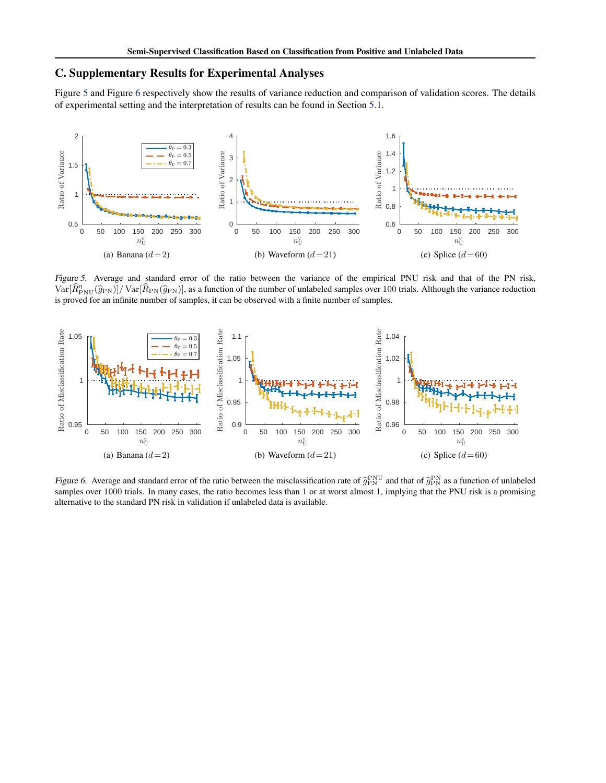# <span id="page-14-0"></span>C. Supplementary Results for Experimental Analyses

Figure 5 and Figure 6 respectively show the results of variance reduction and comparison of validation scores. The details of experimental setting and the interpretation of results can be found in Section [5.1.](#page-5-0)



Figure 5. Average and standard error of the ratio between the variance of the empirical PNU risk and that of the PN risk,  $\text{Var}[\hat{R}_{\text{PNU}}^{\eta}(\hat{g}_{\text{PN}})]/\text{Var}[\hat{R}_{\text{PN}}(\hat{g}_{\text{PN}})]$ , as a function of the number of unlabeled samples over 100 trials. Although the variance reduction is proved for an infinite number of samples, it can be observed with a finite number of samples.



Figure 6. Average and standard error of the ratio between the misclassification rate of  $\hat{g}_{\rm PN}^{\rm PNU}$  and that of  $\hat{g}_{\rm PN}^{\rm PNV}$  as a function of unlabeled samples over 1000 trials. In many cases, the ratio becomes samples over 1000 trials. In many cases, the ratio becomes less than 1 or at worst almost 1, implying that the PNU risk is a promising alternative to the standard PN risk in validation if unlabeled data is available.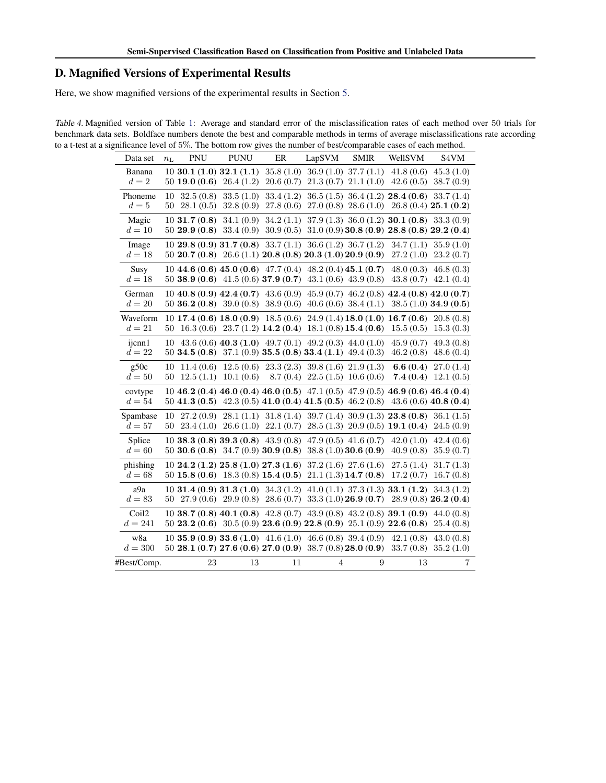# D. Magnified Versions of Experimental Results

Here, we show magnified versions of the experimental results in Section [5.](#page-5-0)

Table 4. Magnified version of Table [1:](#page-6-0) Average and standard error of the misclassification rates of each method over 50 trials for benchmark data sets. Boldface numbers denote the best and comparable methods in terms of average misclassifications rate according to a t-test at a significance level of 5%. The bottom row gives the number of best/comparable cases of each method.

| Data set           | $n_{\rm L}$                            | PNU                    | <b>PUNU</b>                                                            | ER                                                                                                                                                                    | LapSVM         | <b>SMIR</b>                                                                           | WellSVM                                                                                                                                       | S <sub>4</sub> VM      |
|--------------------|----------------------------------------|------------------------|------------------------------------------------------------------------|-----------------------------------------------------------------------------------------------------------------------------------------------------------------------|----------------|---------------------------------------------------------------------------------------|-----------------------------------------------------------------------------------------------------------------------------------------------|------------------------|
| Banana<br>$d=2$    |                                        |                        | $10\,30.1\,(1.0)\,32.1\,(1.1)$<br>50 <b>19.0</b> (0.6) 26.4 (1.2)      | 35.8(1.0)<br>20.6(0.7)                                                                                                                                                |                | $36.9(1.0)$ $37.7(1.1)$<br>$21.3(0.7)$ $21.1(1.0)$                                    | 41.8(0.6)<br>42.6(0.5)                                                                                                                        | 45.3(1.0)<br>38.7(0.9) |
| Phoneme<br>$d=5$   | 10<br>50                               | 32.5(0.8)<br>28.1(0.5) | 33.5(1.0)<br>32.8(0.9)                                                 | 33.4(1.2)<br>27.8(0.6)                                                                                                                                                |                | $36.5(1.5)$ $36.4(1.2)$ <b>28.4 (0.6)</b>                                             | 27.0 (0.8) 28.6 (1.0) 26.8 (0.4) 25.1 (0.2)                                                                                                   | 33.7(1.4)              |
| Magic<br>$d=10$    | $10\,31.7\,(0.8)$<br>$50\,29.9\,(0.8)$ |                        | 34.1(0.9)<br>33.4(0.9)                                                 | 34.2(1.1)<br>30.9(0.5)                                                                                                                                                |                |                                                                                       | $37.9(1.3)$ $36.0(1.2)$ <b>30.1</b> $(0.8)$ $33.3(0.9)$<br>$31.0(0.9)$ 30.8 (0.9) 28.8 (0.8) 29.2 (0.4)                                       |                        |
| Image<br>$d=18$    |                                        |                        |                                                                        | 10 <b>29.8</b> (0.9) <b>31.7</b> (0.8) <b>33.7</b> (1.1) <b>36.6</b> (1.2) <b>36.7</b> (1.2)<br>$50\ 20.7\ (0.8)\ 26.6\ (1.1)\ 20.8\ (0.8)\ 20.3\ (1.0)\ 20.9\ (0.9)$ |                |                                                                                       | 34.7(1.1)<br>27.2(1.0)                                                                                                                        | 35.9(1.0)<br>23.2(0.7) |
| Susy<br>$d=18$     |                                        |                        |                                                                        | 10 44.6 (0.6) 45.0 (0.6) 47.7 (0.4) 48.2 (0.4) 45.1 (0.7)<br>50 38.9 (0.6) 41.5 (0.6) 37.9 (0.7)                                                                      |                | $43.1(0.6)$ $43.9(0.8)$                                                               | 48.0(0.3)<br>43.8(0.7)                                                                                                                        | 46.8(0.3)<br>42.1(0.4) |
| German<br>$d=20$   |                                        |                        | 50 <b>36.2</b> (0.8) 39.0 (0.8)                                        | 10 40.8 (0.9) 42.4 (0.7) 43.6 (0.9)<br>38.9(0.6)                                                                                                                      |                | $40.6(0.6)$ 38.4 $(1.1)$                                                              | 45.9 (0.7) 46.2 (0.8) 42.4 (0.8) 42.0 (0.7)                                                                                                   | $38.5(1.0)$ 34.9 (0.5) |
| Waveform<br>$d=21$ | 50                                     |                        |                                                                        | $16.3(0.6)$ 23.7 (1.2) 14.2 (0.4)                                                                                                                                     |                | $18.1(0.8)$ 15.4 (0.6)                                                                | 10 <b>17.4</b> (0.6) <b>18.0</b> (0.9) <b>18.5</b> (0.6) <b>24.9</b> (1.4) <b>18.0</b> (1.0) <b>16.7</b> (0.6) <b>20.8</b> (0.8)<br>15.5(0.5) | 15.3(0.3)              |
| ijcnn1<br>$d=22$   | 10                                     |                        |                                                                        | 43.6 (0.6) 40.3 (1.0) 49.7 (0.1) 49.2 (0.3) 44.0 (1.0)<br>50 34.5 (0.8) 37.1 (0.9) 35.5 (0.8) 33.4 (1.1) 49.4 (0.3)                                                   |                |                                                                                       | 45.9(0.7)<br>46.2(0.8)                                                                                                                        | 49.3(0.8)<br>48.6(0.4) |
| g50c<br>$d=50$     | 10<br>50                               | 11.4(0.6)<br>12.5(1.1) | 12.5(0.6)<br>10.1(0.6)                                                 | 23.3(2.3)<br>8.7(0.4)                                                                                                                                                 |                | $39.8(1.6)$ $21.9(1.3)$<br>22.5(1.5)10.6(0.6)                                         | 6.6(0.4)<br>7.4(0.4)                                                                                                                          | 27.0(1.4)<br>12.1(0.5) |
| covtype<br>$d=54$  |                                        |                        |                                                                        | 50 41.3 (0.5) 42.3 (0.5) 41.0 (0.4) 41.5 (0.5) 46.2 (0.8)                                                                                                             |                |                                                                                       | 10 46.2 (0.4) 46.0 (0.4) 46.0 (0.5) 47.1 (0.5) 47.9 (0.5) 46.9 (0.6) 46.4 (0.4)                                                               | $43.6(0.6)$ 40.8 (0.4) |
| Spambase<br>$d=57$ | 10<br>50                               | 27.2(0.9)              | 28.1(1.1)<br>$23.4(1.0)$ $26.6(1.0)$                                   | 31.8(1.4)<br>22.1(0.7)                                                                                                                                                |                | $39.7(1.4)$ 30.9 (1.3) <b>23.8 (0.8)</b><br>$28.5(1.3)$ $20.9(0.5)$ <b>19.1</b> (0.4) |                                                                                                                                               | 36.1(1.5)<br>24.5(0.9) |
| Splice<br>$d=60$   |                                        |                        |                                                                        | $10\,38.3\,(0.8)\,39.3\,(0.8)\,43.9\,(0.8)$<br>50 30.6 (0.8) 34.7 (0.9) 30.9 (0.8)                                                                                    |                | $47.9(0.5)$ $41.6(0.7)$<br>38.8(1.0)30.6(0.9)                                         | 42.0(1.0)<br>40.9(0.8)                                                                                                                        | 42.4(0.6)<br>35.9(0.7) |
| phishing<br>$d=68$ |                                        |                        |                                                                        | $10\,24.2\,(1.2)\,25.8\,(1.0)\,27.3\,(1.6)$<br>$50\,15.8\,(0.6)\,18.3\,(0.8)\,15.4\,(0.5)$                                                                            |                | $37.2(1.6)$ $27.6(1.6)$<br>$21.1(1.3)$ 14.7 (0.8)                                     | 27.5(1.4)<br>17.2(0.7)                                                                                                                        | 31.7(1.3)<br>16.7(0.8) |
| a9a<br>$d=83$      |                                        |                        | $10\,31.4\,(0.9)\,31.3\,(1.0)$<br>$50\quad27.9\ (0.6)\quad29.9\ (0.8)$ | 34.3(1.2)<br>28.6(0.7)                                                                                                                                                |                | 33.3(1.0)26.9(0.7)                                                                    | $41.0(1.1)$ 37.3 (1.3) <b>33.1 (1.2)</b><br>$28.9(0.8)$ 26.2 (0.4)                                                                            | 34.3(1.2)              |
| Coil2<br>$d = 241$ |                                        |                        |                                                                        | 10 38.7 (0.8) 40.1 (0.8) 42.8 (0.7) 43.9 (0.8) 43.2 (0.8) 39.1 (0.9)<br>$50\,23.2\,(0.6)\,30.5\,(0.9)\,23.6\,(0.9)\,22.8\,(0.9)\,25.1\,(0.9)\,22.6\,(0.8)$            |                |                                                                                       |                                                                                                                                               | 44.0(0.8)<br>25.4(0.8) |
| w8a<br>$d = 300$   |                                        |                        |                                                                        | $10\,35.9\,(0.9)\,33.6\,(1.0)\,41.6\,(1.0)\,46.6\,(0.8)\,39.4\,(0.9)$<br>$50\,28.1\,(0.7)\,27.6\,(0.6)\,27.0\,(0.9)\,38.7\,(0.8)\,28.0\,(0.9)$                        |                |                                                                                       | 42.1(0.8)<br>33.7(0.8)                                                                                                                        | 43.0(0.8)<br>35.2(1.0) |
| #Best/Comp.        |                                        | 23                     | 13                                                                     | 11                                                                                                                                                                    | $\overline{4}$ | 9                                                                                     | 13                                                                                                                                            | $\overline{7}$         |